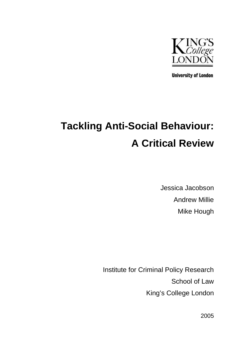

**University of London** 

# **Tackling Anti-Social Behaviour: A Critical Review**

Jessica Jacobson Andrew Millie Mike Hough

Institute for Criminal Policy Research School of Law King's College London

2005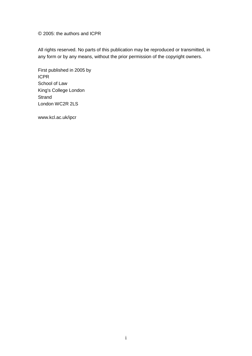# © 2005: the authors and ICPR

All rights reserved. No parts of this publication may be reproduced or transmitted, in any form or by any means, without the prior permission of the copyright owners.

First published in 2005 by ICPR School of Law King's College London **Strand** London WC2R 2LS

www.kcl.ac.uk/ipcr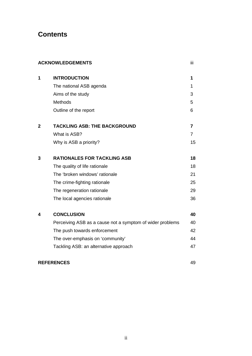# **Contents**

| <b>ACKNOWLEDGEMENTS</b> |                                                           | iίi |
|-------------------------|-----------------------------------------------------------|-----|
| 1                       | <b>INTRODUCTION</b>                                       | 1   |
|                         | The national ASB agenda                                   | 1   |
|                         | Aims of the study                                         | 3   |
|                         | <b>Methods</b>                                            | 5   |
|                         | Outline of the report                                     | 6   |
| $\overline{2}$          | <b>TACKLING ASB: THE BACKGROUND</b>                       | 7   |
|                         | What is ASB?                                              | 7   |
|                         | Why is ASB a priority?                                    | 15  |
| 3                       | <b>RATIONALES FOR TACKLING ASB</b>                        | 18  |
|                         | The quality of life rationale                             | 18  |
|                         | The 'broken windows' rationale                            | 21  |
|                         | The crime-fighting rationale                              | 25  |
|                         | The regeneration rationale                                | 29  |
|                         | The local agencies rationale                              | 36  |
| 4                       | <b>CONCLUSION</b>                                         | 40  |
|                         | Perceiving ASB as a cause not a symptom of wider problems | 40  |
|                         | The push towards enforcement                              | 42  |
|                         | The over-emphasis on 'community'                          | 44  |
|                         | Tackling ASB: an alternative approach                     | 47  |
|                         | <b>REFERENCES</b>                                         |     |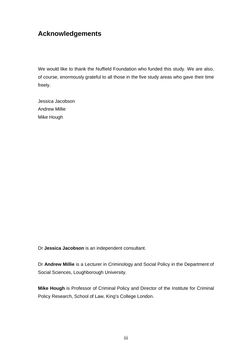# **Acknowledgements**

We would like to thank the Nuffield Foundation who funded this study. We are also, of course, enormously grateful to all those in the five study areas who gave their time freely.

Jessica Jacobson Andrew Millie Mike Hough

Dr **Jessica Jacobson** is an independent consultant.

Dr **Andrew Millie** is a Lecturer in Criminology and Social Policy in the Department of Social Sciences, Loughborough University.

**Mike Hough** is Professor of Criminal Policy and Director of the Institute for Criminal Policy Research, School of Law, King's College London.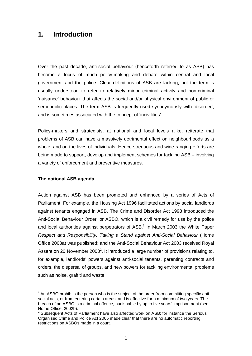# **1. Introduction**

Over the past decade, anti-social behaviour (henceforth referred to as ASB) has become a focus of much policy-making and debate within central and local government and the police. Clear definitions of ASB are lacking, but the term is usually understood to refer to relatively minor criminal activity and non-criminal 'nuisance' behaviour that affects the social and/or physical environment of public or semi-public places. The term ASB is frequently used synonymously with 'disorder', and is sometimes associated with the concept of 'incivilities'.

Policy-makers and strategists, at national and local levels alike, reiterate that problems of ASB can have a massively detrimental effect on neighbourhoods as a whole, and on the lives of individuals. Hence strenuous and wide-ranging efforts are being made to support, develop and implement schemes for tackling ASB – involving a variety of enforcement and preventive measures.

#### **The national ASB agenda**

 $\overline{a}$ 

Action against ASB has been promoted and enhanced by a series of Acts of Parliament. For example, the Housing Act 1996 facilitated actions by social landlords against tenants engaged in ASB. The Crime and Disorder Act 1998 introduced the Anti-Social Behaviour Order, or ASBO, which is a civil remedy for use by the police and local authorities against perpetrators of ASB.<sup>1</sup> In March 2003 the White Paper *Respect and Responsibility: Taking a Stand against Anti-Social Behaviour* (Home Office 2003a) was published; and the Anti-Social Behaviour Act 2003 received Royal Assent on 20 November 2003<sup>2</sup>. It introduced a large number of provisions relating to, for example, landlords' powers against anti-social tenants, parenting contracts and orders, the dispersal of groups, and new powers for tackling environmental problems such as noise, graffiti and waste.

 $<sup>1</sup>$  An ASBO prohibits the person who is the subject of the order from committing specific anti-</sup> social acts, or from entering certain areas, and is effective for a minimum of two years. The breach of an ASBO is a criminal offence, punishable by up to five years' imprisonment (see Home Office, 2002b).

 $2$  Subsequent Acts of Parliament have also affected work on ASB; for instance the Serious Organised Crime and Police Act 2005 made clear that there are no automatic reporting restrictions on ASBOs made in a court.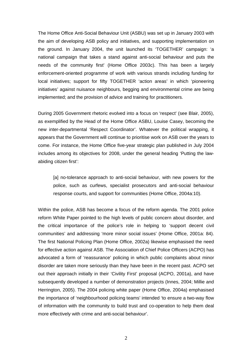The Home Office Anti-Social Behaviour Unit (ASBU) was set up in January 2003 with the aim of developing ASB policy and initiatives, and supporting implementation on the ground. In January 2004, the unit launched its 'TOGETHER' campaign: 'a national campaign that takes a stand against anti-social behaviour and puts the needs of the community first' (Home Office 2003c). This has been a largely enforcement-oriented programme of work with various strands including funding for local initiatives; support for fifty TOGETHER 'action areas' in which 'pioneering initiatives' against nuisance neighbours, begging and environmental crime are being implemented; and the provision of advice and training for practitioners.

During 2005 Government rhetoric evolved into a focus on 'respect' (see Blair, 2005), as exemplified by the Head of the Home Office ASBU, Louise Casey, becoming the new inter-departmental 'Respect Coordinator'. Whatever the political wrapping, it appears that the Government will continue to prioritise work on ASB over the years to come. For instance, the Home Office five-year strategic plan published in July 2004 includes among its objectives for 2008, under the general heading 'Putting the lawabiding citizen first':

[a] no-tolerance approach to anti-social behaviour, with new powers for the police, such as curfews, specialist prosecutors and anti-social behaviour response courts, and support for communities (Home Office, 2004a:10).

Within the police, ASB has become a focus of the reform agenda. The 2001 police reform White Paper pointed to the high levels of public concern about disorder, and the critical importance of the police's role in helping to 'support decent civil communities' and addressing 'more minor social issues' (Home Office, 2001a: 84). The first National Policing Plan (Home Office, 2002a) likewise emphasised the need for effective action against ASB. The Association of Chief Police Officers (ACPO) has advocated a form of 'reassurance' policing in which public complaints about minor disorder are taken more seriously than they have been in the recent past. ACPO set out their approach initially in their 'Civility First' proposal (ACPO, 2001a), and have subsequently developed a number of demonstration projects (Innes, 2004; Millie and Herrington, 2005). The 2004 policing white paper (Home Office, 2004a) emphasised the importance of 'neighbourhood policing teams' intended 'to ensure a two-way flow of information with the community to build trust and co-operation to help them deal more effectively with crime and anti-social behaviour'.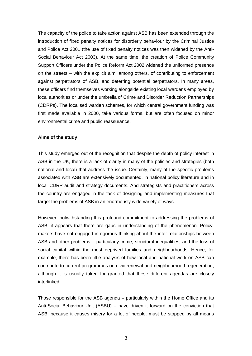The capacity of the police to take action against ASB has been extended through the introduction of fixed penalty notices for disorderly behaviour by the Criminal Justice and Police Act 2001 (the use of fixed penalty notices was then widened by the Anti-Social Behaviour Act 2003). At the same time, the creation of Police Community Support Officers under the Police Reform Act 2002 widened the uniformed presence on the streets – with the explicit aim, among others, of contributing to enforcement against perpetrators of ASB, and deterring potential perpetrators. In many areas, these officers find themselves working alongside existing local wardens employed by local authorities or under the umbrella of Crime and Disorder Reduction Partnerships (CDRPs). The localised warden schemes, for which central government funding was first made available in 2000, take various forms, but are often focused on minor environmental crime and public reassurance.

#### **Aims of the study**

This study emerged out of the recognition that despite the depth of policy interest in ASB in the UK, there is a lack of clarity in many of the policies and strategies (both national and local) that address the issue. Certainly, many of the specific problems associated with ASB are extensively documented, in national policy literature and in local CDRP audit and strategy documents. And strategists and practitioners across the country are engaged in the task of designing and implementing measures that target the problems of ASB in an enormously wide variety of ways.

However, notwithstanding this profound commitment to addressing the problems of ASB, it appears that there are gaps in understanding of the phenomenon. Policymakers have not engaged in rigorous thinking about the inter-relationships between ASB and other problems – particularly crime, structural inequalities, and the loss of social capital within the most deprived families and neighbourhoods. Hence, for example, there has been little analysis of how local and national work on ASB can contribute to current programmes on civic renewal and neighbourhood regeneration, although it is usually taken for granted that these different agendas are closely interlinked.

Those responsible for the ASB agenda – particularly within the Home Office and its Anti-Social Behaviour Unit (ASBU) – have driven it forward on the conviction that ASB, because it causes misery for a lot of people, must be stopped by all means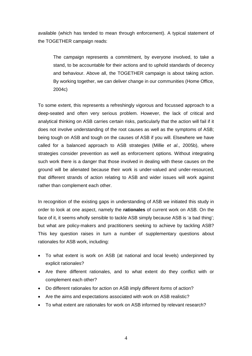available (which has tended to mean through enforcement). A typical statement of the TOGETHER campaign reads:

The campaign represents a commitment, by everyone involved, to take a stand, to be accountable for their actions and to uphold standards of decency and behaviour. Above all, the TOGETHER campaign is about taking action. By working together, we can deliver change in our communities (Home Office, 2004c)

To some extent, this represents a refreshingly vigorous and focussed approach to a deep-seated and often very serious problem. However, the lack of critical and analytical thinking on ASB carries certain risks, particularly that the action will fail if it does not involve understanding of the root causes as well as the symptoms of ASB; being tough on ASB and tough on the causes of ASB if you will. Elsewhere we have called for a balanced approach to ASB strategies (Millie *et al*., 2005b), where strategies consider prevention as well as enforcement options. Without integrating such work there is a danger that those involved in dealing with these causes on the ground will be alienated because their work is under-valued and under-resourced, that different strands of action relating to ASB and wider issues will work against rather than complement each other.

In recognition of the existing gaps in understanding of ASB we initiated this study in order to look at one aspect, namely the **rationales** of current work on ASB. On the face of it, it seems wholly sensible to tackle ASB simply because ASB is 'a bad thing'; but what are policy-makers and practitioners seeking to achieve by tackling ASB? This key question raises in turn a number of supplementary questions about rationales for ASB work, including:

- To what extent is work on ASB (at national and local levels) underpinned by explicit rationales?
- Are there different rationales, and to what extent do they conflict with or complement each other?
- Do different rationales for action on ASB imply different *forms* of action?
- Are the aims and expectations associated with work on ASB realistic?
- To what extent are rationales for work on ASB informed by relevant research?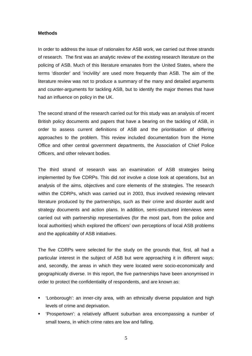#### **Methods**

In order to address the issue of rationales for ASB work, we carried out three strands of research. The first was an analytic review of the existing research literature on the policing of ASB. Much of this literature emanates from the United States, where the terms 'disorder' and 'incivility' are used more frequently than ASB. The aim of the literature review was not to produce a summary of the many and detailed arguments and counter-arguments for tackling ASB, but to identify the major themes that have had an influence on policy in the UK.

The second strand of the research carried out for this study was an analysis of recent British policy documents and papers that have a bearing on the tackling of ASB, in order to assess current definitions of ASB and the prioritisation of differing approaches to the problem. This review included documentation from the Home Office and other central government departments, the Association of Chief Police Officers, and other relevant bodies.

The third strand of research was an examination of ASB strategies being implemented by five CDRPs. This did *not* involve a close look at operations, but an analysis of the aims, objectives and core elements of the strategies. The research within the CDRPs, which was carried out in 2003, thus involved reviewing relevant literature produced by the partnerships, such as their crime and disorder audit and strategy documents and action plans. In addition, semi-structured interviews were carried out with partnership representatives (for the most part, from the police and local authorities) which explored the officers' own perceptions of local ASB problems and the applicability of ASB initiatives.

The five CDRPs were selected for the study on the grounds that, first, all had a particular interest in the subject of ASB but were approaching it in different ways; and, secondly, the areas in which they were located were socio-economically and geographically diverse. In this report, the five partnerships have been anonymised in order to protect the confidentiality of respondents, and are known as:

- 'Lonborough': an inner-city area, with an ethnically diverse population and high levels of crime and deprivation.
- 'Prospertown': a relatively affluent suburban area encompassing a number of small towns, in which crime rates are low and falling.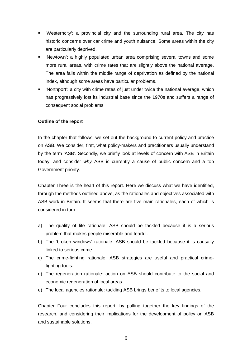- 'Westerncity': a provincial city and the surrounding rural area. The city has historic concerns over car crime and youth nuisance. Some areas within the city are particularly deprived.
- 'Newtown': a highly populated urban area comprising several towns and some more rural areas, with crime rates that are slightly above the national average. The area falls within the middle range of deprivation as defined by the national index, although some areas have particular problems.
- 'Northport': a city with crime rates of just under twice the national average, which has progressively lost its industrial base since the 1970s and suffers a range of consequent social problems.

# **Outline of the report**

In the chapter that follows, we set out the background to current policy and practice on ASB. We consider, first, what policy-makers and practitioners usually understand by the term 'ASB'. Secondly, we briefly look at levels of concern with ASB in Britain today, and consider *why* ASB is currently a cause of public concern and a top Government priority.

Chapter Three is the heart of this report. Here we discuss what we have identified, through the methods outlined above, as the rationales and objectives associated with ASB work in Britain. It seems that there are five main rationales, each of which is considered in turn:

- a) The quality of life rationale: ASB should be tackled because it is a serious problem that makes people miserable and fearful.
- b) The 'broken windows' rationale: ASB should be tackled because it is causally linked to serious crime.
- c) The crime-fighting rationale: ASB strategies are useful and practical crimefighting tools.
- d) The regeneration rationale: action on ASB should contribute to the social and economic regeneration of local areas.
- e) The local agencies rationale: tackling ASB brings benefits to local agencies.

Chapter Four concludes this report, by pulling together the key findings of the research, and considering their implications for the development of policy on ASB and sustainable solutions.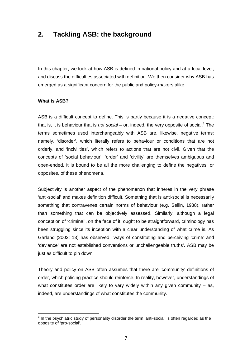# **2. Tackling ASB: the background**

In this chapter, we look at how ASB is defined in national policy and at a local level, and discuss the difficulties associated with definition. We then consider why ASB has emerged as a significant concern for the public and policy-makers alike.

# **What is ASB?**

 $\overline{a}$ 

ASB is a difficult concept to define. This is partly because it is a negative concept: that is, it is behaviour that is *not social* – or, indeed, the very opposite of social.<sup>3</sup> The terms sometimes used interchangeably with ASB are, likewise, negative terms: namely, 'disorder', which literally refers to behaviour or conditions that are not orderly, and 'incivilities', which refers to actions that are not civil. Given that the concepts of 'social behaviour', 'order' and 'civility' are themselves ambiguous and open-ended, it is bound to be all the more challenging to define the negatives, or opposites, of these phenomena.

Subjectivity is another aspect of the phenomenon that inheres in the very phrase 'anti-social' and makes definition difficult. Something that is anti-social is necessarily something that contravenes certain norms of behaviour (e.g. Sellin, 1938), rather than something that can be objectively assessed. Similarly, although a legal conception of 'criminal', on the face of it, ought to be straightforward, criminology has been struggling since its inception with a clear understanding of what crime is. As Garland (2002: 13) has observed, 'ways of constituting and perceiving 'crime' and 'deviance' are not established conventions or unchallengeable truths'. ASB may be just as difficult to pin down.

Theory and policy on ASB often assumes that there are 'community' definitions of order, which policing practice should reinforce. In reality, however, understandings of what constitutes order are likely to vary widely within any given community  $-$  as, indeed, are understandings of what constitutes the community.

 $3$  In the psychiatric study of personality disorder the term 'anti-social' is often regarded as the opposite of 'pro-social'.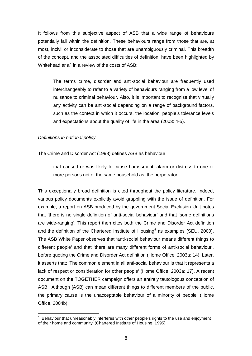It follows from this subjective aspect of ASB that a wide range of behaviours potentially fall within the definition. These behaviours range from those that are, at most, incivil or inconsiderate to those that are unambiguously criminal. This breadth of the concept, and the associated difficulties of definition, have been highlighted by Whitehead *et al*, in a review of the costs of ASB:

The terms crime, disorder and anti-social behaviour are frequently used interchangeably to refer to a variety of behaviours ranging from a low level of nuisance to criminal behaviour. Also, it is important to recognise that virtually any activity can be anti-social depending on a range of background factors, such as the context in which it occurs, the location, people's tolerance levels and expectations about the quality of life in the area (2003: 4-5).

#### *Definitions in national policy*

 $\overline{a}$ 

The Crime and Disorder Act (1998) defines ASB as behaviour

that caused or was likely to cause harassment, alarm or distress to one or more persons not of the same household as [the perpetrator].

This exceptionally broad definition is cited throughout the policy literature. Indeed, various policy documents explicitly avoid grappling with the issue of definition. For example, a report on ASB produced by the government Social Exclusion Unit notes that 'there is no single definition of anti-social behaviour' and that 'some definitions are wide-ranging'. This report then cites both the Crime and Disorder Act definition and the definition of the Chartered Institute of Housing<sup>4</sup> as examples (SEU, 2000). The ASB White Paper observes that 'anti-social behaviour means different things to different people' and that 'there are many different forms of anti-social behaviour', before quoting the Crime and Disorder Act definition (Home Office, 2003a: 14). Later, it asserts that: 'The common element in all anti-social behaviour is that it represents a lack of respect or consideration for other people' (Home Office, 2003a: 17). A recent document on the TOGETHER campaign offers an entirely tautologous conception of ASB: 'Although [ASB] can mean different things to different members of the public, the primary cause is the unacceptable behaviour of a minority of people' (Home Office, 2004b).

<sup>&</sup>lt;sup>4</sup> 'Behaviour that unreasonably interferes with other people's rights to the use and enjoyment of their home and community' (Chartered Institute of Housing, 1995).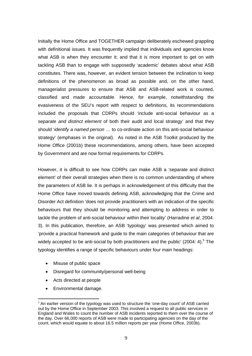Initially the Home Office and TOGETHER campaign deliberately eschewed grappling with definitional issues. It was frequently implied that individuals and agencies know what ASB is when they encounter it; and that it is more important to get on with tackling ASB than to engage with supposedly 'academic' debates about what ASB constitutes. There was, however, an evident tension between the inclination to keep definitions of the phenomenon as broad as possible and, on the other hand, managerialist pressures to ensure that ASB and ASB-related work is counted, classified and made accountable. Hence, for example, notwithstanding the evasiveness of the SEU's report with respect to definitions, its recommendations included the proposals that CDRPs should 'include anti-social behaviour as a *separate and distinct element* of both their audit and local strategy' and that they should '*identify a named person* … to co-ordinate action on this anti-social behaviour strategy' (emphases in the original). As noted in the ASB Toolkit produced by the Home Office (2001b) these recommendations, among others, have been accepted by Government and are now formal requirements for CDRPs.

However, it is difficult to see how CDRPs can make ASB a 'separate and distinct element' of their overall strategies when there is no common understanding of where the parameters of ASB lie. It is perhaps in acknowledgement of this difficulty that the Home Office have moved towards defining ASB, acknowledging that the Crime and Disorder Act definition 'does not provide practitioners with an indication of the specific behaviours that they should be monitoring and attempting to address in order to tackle the problem of anti-social behaviour within their locality' (Harradine *et al*, 2004: 3). In this publication, therefore, an ASB 'typology' was presented which aimed to 'provide a practical framework and guide to the main categories of behaviour that are widely accepted to be anti-social by both practitioners and the public' (2004: 4).<sup>5</sup> The typology identifies a range of specific behaviours under four main headings:

- Misuse of public space
- Disregard for community/personal well-being
- Acts directed at people
- Environmental damage.

 $\overline{a}$ 

 $<sup>5</sup>$  An earlier version of the typology was used to structure the 'one-day count' of ASB carried</sup> out by the Home Office in September 2003. This involved a request to all public services in England and Wales to count the number of ASB incidents reported to them over the course of the day. Over 66,000 reports of ASB were made to participating agencies on the day of the count, which would equate to about 16.5 million reports per year (Home Office, 2003b).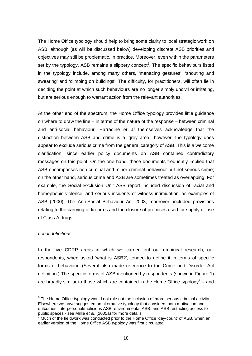The Home Office typology should help to bring some clarity to local strategic work on ASB, although (as will be discussed below) developing discrete ASB priorities and objectives may still be problematic, in practice. Moreover, even within the parameters set by the typology, ASB remains a slippery concept $6$ . The specific behaviours listed in the typology include, among many others, 'menacing gestures', 'shouting and swearing' and 'climbing on buildings'. The difficulty, for practitioners, will often lie in deciding the point at which such behaviours are no longer simply uncivil or irritating, but are serious enough to warrant action from the relevant authorities.

At the other end of the spectrum, the Home Office typology provides little guidance on where to draw the line – in terms of the nature of the response – between criminal and anti-social behaviour. Harradine *et al* themselves acknowledge that the distinction between ASB and crime is a 'grey area'; however, the typology does appear to exclude serious crime from the general category of ASB. This is a welcome clarification, since earlier policy documents on ASB contained contradictory messages on this point. On the one hand, these documents frequently implied that ASB encompasses non-criminal and minor criminal behaviour but not serious crime; on the other hand, serious crime and ASB are sometimes treated as overlapping. For example, the Social Exclusion Unit ASB report included discussion of racial and homophobic violence, and serious incidents of witness intimidation, as examples of ASB (2000). The Anti-Social Behaviour Act 2003, moreover, included provisions relating to the carrying of firearms and the closure of premises used for supply or use of Class A drugs.

#### *Local definitions*

 $\overline{a}$ 

In the five CDRP areas in which we carried out our empirical research, our respondents, when asked 'what is ASB?', tended to define it in terms of specific forms of behaviour. (Several also made reference to the Crime and Disorder Act definition.) The specific forms of ASB mentioned by respondents (shown in Figure 1) are broadly similar to those which are contained in the Home Office typology<sup>7</sup> – and

 $6$  The Home Office typology would not rule out the inclusion of more serious criminal activity. Elsewhere we have suggested an alternative typology that considers both motivation and outcomes: interpersonal/malicious ASB; environmental ASB; and ASB restricting access to public spaces - see Millie *et al.* (2005a) for more details.

Much of the fieldwork was conducted prior to the Home Office 'day-count' of ASB, when an earlier version of the Home Office ASB typology was first circulated.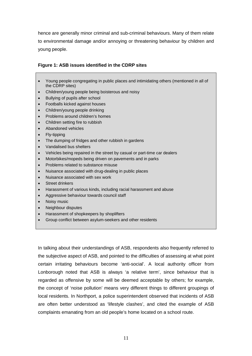hence are generally minor criminal and sub-criminal behaviours. Many of them relate to environmental damage and/or annoying or threatening behaviour by children and young people.

# **Figure 1: ASB issues identified in the CDRP sites**

- Young people congregating in public places and intimidating others (mentioned in all of the CDRP sites)
- Children/young people being boisterous and noisy
- Bullying of pupils after school
- Footballs kicked against houses
- Children/young people drinking
- Problems around children's homes
- Children setting fire to rubbish
- Abandoned vehicles
- Fly-tipping
- The dumping of fridges and other rubbish in gardens
- Vandalised bus shelters
- Vehicles being repaired in the street by casual or part-time car dealers
- Motorbikes/mopeds being driven on pavements and in parks
- Problems related to substance misuse
- Nuisance associated with drug-dealing in public places
- Nuisance associated with sex work
- Street drinkers
- Harassment of various kinds, including racial harassment and abuse
- Aggressive behaviour towards council staff
- Noisy music
- Neighbour disputes
- Harassment of shopkeepers by shoplifters
- Group conflict between asylum-seekers and other residents

In talking about their understandings of ASB, respondents also frequently referred to the subjective aspect of ASB, and pointed to the difficulties of assessing at what point certain irritating behaviours become 'anti-social'. A local authority officer from Lonborough noted that ASB is always 'a relative term', since behaviour that is regarded as offensive by some will be deemed acceptable by others; for example, the concept of 'noise pollution' means very different things to different groupings of local residents. In Northport, a police superintendent observed that incidents of ASB are often better understood as 'lifestyle clashes', and cited the example of ASB complaints emanating from an old people's home located on a school route.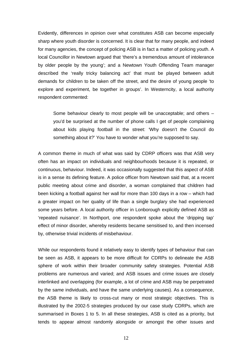Evidently, differences in opinion over what constitutes ASB can become especially sharp where youth disorder is concerned. It is clear that for many people, and indeed for many agencies, the concept of policing ASB is in fact a matter of policing youth. A local Councillor in Newtown argued that 'there's a tremendous amount of intolerance by older people by the young'; and a Newtown Youth Offending Team manager described the 'really tricky balancing act' that must be played between adult demands for children to be taken off the street, and the desire of young people 'to explore and experiment, be together in groups'. In Westerncity, a local authority respondent commented:

Some behaviour clearly to most people will be unacceptable; and others – you'd be surprised at the number of phone calls I get of people complaining about kids playing football in the street: 'Why doesn't the Council do something about it?' You have to wonder what you're supposed to say.

A common theme in much of what was said by CDRP officers was that ASB very often has an impact on individuals and neighbourhoods because it is repeated, or continuous, behaviour. Indeed, it was occasionally suggested that this aspect of ASB is in a sense its defining feature. A police officer from Newtown said that, at a recent public meeting about crime and disorder, a woman complained that children had been kicking a football against her wall for more than 100 days in a row – which had a greater impact on her quality of life than a single burglary she had experienced some years before. A local authority officer in Lonborough explicitly defined ASB as 'repeated nuisance'. In Northport, one respondent spoke about the 'dripping tap' effect of minor disorder, whereby residents became sensitised to, and then incensed by, otherwise trivial incidents of misbehaviour.

While our respondents found it relatively easy to identify types of behaviour that can be seen as ASB, it appears to be more difficult for CDRPs to delineate the ASB sphere of work within their broader community safety strategies. Potential ASB problems are numerous and varied; and ASB issues and crime issues are closely interlinked and overlapping (for example, a lot of crime and ASB may be perpetrated by the same individuals, and have the same underlying causes). As a consequence, the ASB theme is likely to cross-cut many or most strategic objectives. This is illustrated by the 2002-5 strategies produced by our case study CDRPs, which are summarised in Boxes 1 to 5. In all these strategies, ASB is cited as a priority, but tends to appear almost randomly alongside or amongst the other issues and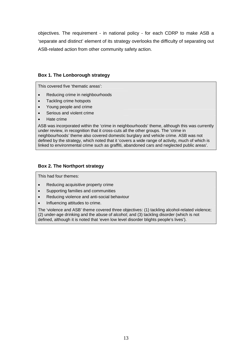objectives. The requirement - in national policy - for each CDRP to make ASB a 'separate and distinct' element of its strategy overlooks the difficulty of separating out ASB-related action from other community safety action.

# **Box 1. The Lonborough strategy**

This covered five 'thematic areas':

- Reducing crime in neighbourhoods
- Tackling crime hotspots
- Young people and crime
- Serious and violent crime
- Hate crime

ASB was incorporated within the 'crime in neighbourhoods' theme, although this was currently under review, in recognition that it cross-cuts all the other groups. The 'crime in neighbourhoods' theme also covered domestic burglary and vehicle crime. ASB was not defined by the strategy, which noted that it 'covers a wide range of activity, much of which is linked to environmental crime such as graffiti, abandoned cars and neglected public areas'.

# **Box 2. The Northport strategy**

This had four themes:

- Reducing acquisitive property crime
- Supporting families and communities
- Reducing violence and anti-social behaviour
- Influencing attitudes to crime.

The 'violence and ASB' theme covered three objectives: (1) tackling alcohol-related violence; (2) under-age drinking and the abuse of alcohol; and (3) tackling disorder (which is not defined, although it is noted that 'even low level disorder blights people's lives').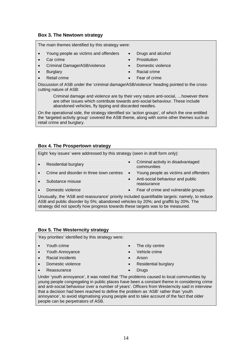# **Box 3. The Newtown strategy**

The main themes identified by this strategy were:

- Young people as victims and offenders Drugs and alcohol
- 
- Criminal Damage/ASB/violence **Criminal Damage/ASB/violence**
- 
- 
- 
- Car crime **Prostitution** 
	-
- Burglary **Racial crime Racial crime** 
	- Retail crime **Fear of crime**

Discussion of ASB under the 'criminal damage/ASB/violence' heading pointed to the crosscutting nature of ASB:

Criminal damage and violence are by their very nature anti-social, …however there are other issues which contribute towards anti-social behaviour. These include abandoned vehicles, fly tipping and discarded needles.

On the operational side, the strategy identified six 'action groups', of which the one entitled the 'targeted activity group' covered the ASB theme, along with some other themes such as retail crime and burglary.

# **Box 4. The Prospertown strategy**

Eight 'key issues' were addressed by this strategy (seen in draft form only):

- 
- Residential burglary **Criminal activity in disadvantaged** communities
- Crime and disorder in three town centres Young people as victims and offenders
- 
- reassurance
- Domestic violence **EXALL CONSUMER SECTION** Fear of crime and vulnerable groups

Unusually, the 'ASB and reassurance' priority included quantifiable targets: namely, to reduce ASB and public disorder by 5%; abandoned vehicles by 20%; and graffiti by 20%. The strategy did not specify how progress towards these targets was to be measured.

# **Box 5. The Westerncity strategy**

'Key priorities' identified by this strategy were:

- 
- Youth Annoyance **Vehicle crime**
- Racial incidents **Arson**
- 
- Reassurance **Drugs Drugs**
- Youth crime **The city centre** 
	-
	-
	- Domestic violence **Example 20** and  $\bullet$  Residential burglary
		-

Under 'youth annoyance', it was noted that 'The problems caused to local communities by young people congregating in public places have been a constant theme in considering crime and anti-social behaviour over a number of years'. Officers from Westerncity said in interview that a decision had been reached to define the problem as 'ASB' rather than 'youth annoyance', to avoid stigmatising young people and to take account of the fact that older people can be perpetrators of ASB.

- 
- Substance misuse Anti-social behaviour and public
-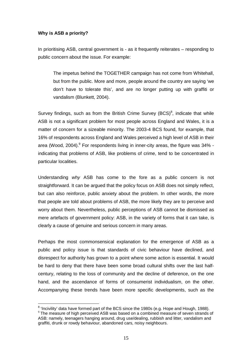### **Why is ASB a priority?**

In prioritising ASB, central government is - as it frequently reiterates – responding to public concern about the issue. For example:

The impetus behind the TOGETHER campaign has not come from Whitehall, but from the public. More and more, people around the country are saying 'we don't have to tolerate this', and are no longer putting up with graffiti or vandalism (Blunkett, 2004).

Survey findings, such as from the British Crime Survey  $(BCS)^8$ , indicate that while ASB is not a significant problem for most people across England and Wales, it is a matter of concern for a sizeable minority. The 2003-4 BCS found, for example, that 16% of respondents across England and Wales perceived a high level of ASB in their area (Wood, 2004).<sup>9</sup> For respondents living in inner-city areas, the figure was 34% indicating that problems of ASB, like problems of crime, tend to be concentrated in particular localities.

Understanding *why* ASB has come to the fore as a public concern is not straightforward. It can be argued that the policy focus on ASB does not simply reflect, but can also reinforce, public anxiety about the problem. In other words, the more that people are told about problems of ASB, the more likely they are to perceive and worry about them. Nevertheless, public perceptions of ASB cannot be dismissed as mere artefacts of government policy: ASB, in the variety of forms that it can take, is clearly a cause of genuine and serious concern in many areas.

Perhaps the most commonsensical explanation for the emergence of ASB as a public and policy issue is that standards of civic behaviour have declined, and disrespect for authority has grown to a point where some action is essential. It would be hard to deny that there have been some broad cultural shifts over the last halfcentury, relating to the loss of community and the decline of deference, on the one hand, and the ascendance of forms of consumerist individualism, on the other. Accompanying these trends have been more specific developments, such as the

 8 'Incivility' data have formed part of the BCS since the 1980s (e.g. Hope and Hough, 1988).

<sup>&</sup>lt;sup>9</sup> The measure of high perceived ASB was based on a combined measure of seven strands of ASB: namely, teenagers hanging around, drug use/dealing, rubbish and litter, vandalism and graffiti, drunk or rowdy behaviour, abandoned cars, noisy neighbours.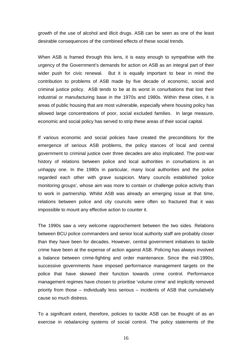growth of the use of alcohol and illicit drugs. ASB can be seen as one of the least desirable consequences of the combined effects of these social trends.

When ASB is framed through this lens, it is easy enough to sympathise with the urgency of the Government's demands for action on ASB as an integral part of their wider push for civic renewal. But it is equally important to bear in mind the contribution to problems of ASB made by five decade of economic, social and criminal justice policy. ASB tends to be at its worst in conurbations that lost their industrial or manufacturing base in the 1970s and 1980s. Within these cities, it is areas of public housing that are most vulnerable, especially where housing policy has allowed large concentrations of poor, social excluded families. In large measure, economic and social policy has served to strip these areas of their social capital.

If various economic and social policies have created the preconditions for the emergence of serious ASB problems, the policy stances of local and central government to criminal justice over three decades are also implicated. The post-war history of relations between police and local authorities in conurbations is an unhappy one. In the 1980s in particular, many local authorities and the police regarded each other with grave suspicion. Many councils established 'police monitoring groups', whose aim was more to contain or challenge police activity than to work in partnership. Whilst ASB was already an emerging issue at that time, relations between police and city councils were often so fractured that it was impossible to mount any effective action to counter it.

The 1990s saw a very welcome rapprochement between the two sides. Relations between BCU police commanders and senior local authority staff are probably closer than they have been for decades. However, central government initiatives to tackle crime have been at the expense of action against ASB. Policing has always involved a balance between crime-fighting and order maintenance. Since the mid-1990s, successive governments have imposed performance management targets on the police that have skewed their function towards crime control. Performance management regimes have chosen to prioritise 'volume crime' and implicitly removed priority from those – individually less serious – incidents of ASB that cumulatively cause so much distress.

To a significant extent, therefore, policies to tackle ASB can be thought of as an exercise in *rebalancing* systems of social control. The policy statements of the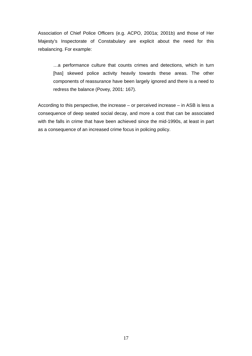Association of Chief Police Officers (e.g. ACPO, 2001a; 2001b) and those of Her Majesty's Inspectorate of Constabulary are explicit about the need for this rebalancing. For example:

…a performance culture that counts crimes and detections, which in turn [has] skewed police activity heavily towards these areas. The other components of reassurance have been largely ignored and there is a need to redress the balance (Povey, 2001: 167).

According to this perspective, the increase – or perceived increase – in ASB is less a consequence of deep seated social decay, and more a cost that can be associated with the falls in crime that have been achieved since the mid-1990s, at least in part as a consequence of an increased crime focus in policing policy.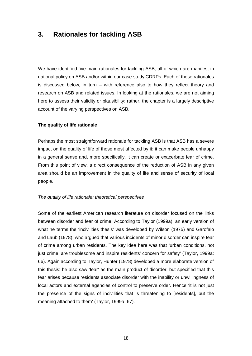# **3. Rationales for tackling ASB**

We have identified five main rationales for tackling ASB, all of which are manifest in national policy on ASB and/or within our case study CDRPs. Each of these rationales is discussed below, in turn – with reference also to how they reflect theory and research on ASB and related issues. In looking at the rationales, we are not aiming here to assess their validity or plausibility; rather, the chapter is a largely descriptive account of the varying perspectives on ASB.

# **The quality of life rationale**

Perhaps the most straightforward rationale for tackling ASB is that ASB has a severe impact on the quality of life of those most affected by it: it can make people unhappy in a general sense and, more specifically, it can create or exacerbate fear of crime. From this point of view, a direct consequence of the reduction of ASB in any given area should be an improvement in the quality of life and sense of security of local people.

# *The quality of life rationale: theoretical perspectives*

Some of the earliest American research literature on disorder focused on the links between disorder and fear of crime. According to Taylor (1999a), an early version of what he terms the 'incivilities thesis' was developed by Wilson (1975) and Garofalo and Laub (1978), who argued that various incidents of minor disorder can inspire fear of crime among urban residents. The key idea here was that 'urban conditions, not just crime, are troublesome and inspire residents' concern for safety' (Taylor, 1999a: 66). Again according to Taylor, Hunter (1978) developed a more elaborate version of this thesis: he also saw 'fear' as the main product of disorder, but specified that this fear arises because residents associate disorder with the inability or unwillingness of local actors and external agencies of control to preserve order. Hence 'it is not just the presence of the signs of incivilities that is threatening to [residents], but the meaning attached to them' (Taylor, 1999a: 67).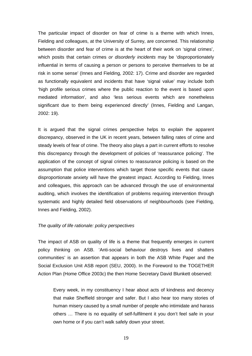The particular impact of disorder on fear of crime is a theme with which Innes, Fielding and colleagues, at the University of Surrey, are concerned. This relationship between disorder and fear of crime is at the heart of their work on 'signal crimes', which posits that certain crimes *or disorderly incidents* may be 'disproportionately influential in terms of causing a person or persons to perceive themselves to be at risk in some sense' (Innes and Fielding, 2002: 17). Crime and disorder are regarded as functionally equivalent and incidents that have 'signal value' may include both 'high profile serious crimes where the public reaction to the event is based upon mediated information', and also 'less serious events which are nonetheless significant due to them being experienced directly' (Innes, Fielding and Langan, 2002: 19).

It is argued that the signal crimes perspective helps to explain the apparent discrepancy, observed in the UK in recent years, between falling rates of crime and steady levels of fear of crime. The theory also plays a part in current efforts to resolve this discrepancy through the development of policies of 'reassurance policing'. The application of the concept of signal crimes to reassurance policing is based on the assumption that police interventions which target those specific events that cause disproportionate anxiety will have the greatest impact. According to Fielding, Innes and colleagues, this approach can be advanced through the use of environmental auditing, which involves the identification of problems requiring intervention through systematic and highly detailed field observations of neighbourhoods (see Fielding, Innes and Fielding, 2002).

#### *The quality of life rationale: policy perspectives*

The impact of ASB on quality of life is a theme that frequently emerges in current policy thinking on ASB. 'Anti-social behaviour destroys lives and shatters communities' is an assertion that appears in both the ASB White Paper and the Social Exclusion Unit ASB report (SEU, 2000). In the Foreword to the TOGETHER Action Plan (Home Office 2003c) the then Home Secretary David Blunkett observed:

Every week, in my constituency I hear about acts of kindness and decency that make Sheffield stronger and safer. But I also hear too many stories of human misery caused by a small number of people who intimidate and harass others … There is no equality of self-fulfilment it you don't feel safe in your own home or if you can't walk safely down your street.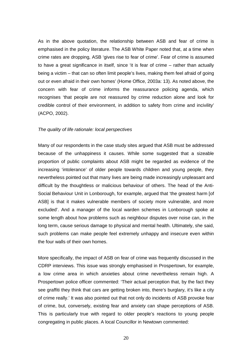As in the above quotation, the relationship between ASB and fear of crime is emphasised in the policy literature. The ASB White Paper noted that, at a time when crime rates are dropping, ASB 'gives rise to fear of crime'. Fear of crime is assumed to have a great significance in itself, since 'it is fear of crime – rather than actually being a victim – that can so often limit people's lives, making them feel afraid of going out or even afraid in their own homes' (Home Office, 2003a: 13). As noted above, the concern with fear of crime informs the reassurance policing agenda, which recognises 'that people are not reassured by crime reduction alone and look for credible control of their environment, in addition to safety from crime and incivility' (ACPO, 2002).

#### *The quality of life rationale: local perspectives*

Many of our respondents in the case study sites argued that ASB must be addressed because of the unhappiness it causes. While some suggested that a sizeable proportion of public complaints about ASB might be regarded as evidence of the increasing 'intolerance' of older people towards children and young people, they nevertheless pointed out that many lives are being made increasingly unpleasant and difficult by the thoughtless or malicious behaviour of others. The head of the Anti-Social Behaviour Unit in Lonborough, for example, argued that 'the greatest harm [of ASB] is that it makes vulnerable members of society more vulnerable, and more excluded'. And a manager of the local warden schemes in Lonborough spoke at some length about how problems such as neighbour disputes over noise can, in the long term, cause serious damage to physical and mental health. Ultimately, she said, such problems can make people feel extremely unhappy and insecure even within the four walls of their own homes.

More specifically, the impact of ASB on fear of crime was frequently discussed in the CDRP interviews. This issue was strongly emphasised in Prospertown, for example, a low crime area in which anxieties about crime nevertheless remain high. A Prospertown police officer commented: 'Their actual perception that, by the fact they see graffiti they think that cars are getting broken into, there's burglary, it's like a city of crime really.' It was also pointed out that not only do incidents of ASB provoke fear of crime, but, conversely, existing fear and anxiety can shape perceptions of ASB. This is particularly true with regard to older people's reactions to young people congregating in public places. A local Councillor in Newtown commented: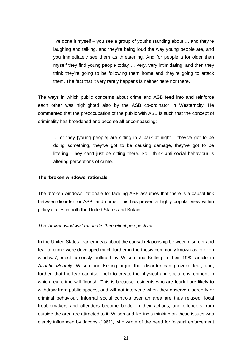I've done it myself – you see a group of youths standing about … and they're laughing and talking, and they're being loud the way young people are, and you immediately see them as threatening. And for people a lot older than myself they find young people today … very, very intimidating, and then they think they're going to be following them home and they're going to attack them. The fact that it very rarely happens is neither here nor there.

The ways in which public concerns about crime and ASB feed into and reinforce each other was highlighted also by the ASB co-ordinator in Westerncity. He commented that the preoccupation of the public with ASB is such that the concept of criminality has broadened and become all-encompassing:

… or they [young people] are sitting in a park at night – they've got to be doing something, they've got to be causing damage, they've got to be littering. They can't just be sitting there. So I think anti-social behaviour is altering perceptions of crime.

#### **The 'broken windows' rationale**

The 'broken windows' rationale for tackling ASB assumes that there is a causal link between disorder, or ASB, and crime. This has proved a highly popular view within policy circles in both the United States and Britain.

#### *The 'broken windows' rationale: theoretical perspectives*

In the United States, earlier ideas about the causal relationship between disorder and fear of crime were developed much further in the thesis commonly known as 'broken windows', most famously outlined by Wilson and Kelling in their 1982 article in *Atlantic Monthly*. Wilson and Kelling argue that disorder can provoke fear; and, further, that the fear can itself help to create the physical and social environment in which real crime will flourish. This is because residents who are fearful are likely to withdraw from public spaces, and will not intervene when they observe disorderly or criminal behaviour. Informal social controls over an area are thus relaxed; local troublemakers and offenders become bolder in their actions; and offenders from outside the area are attracted to it. Wilson and Kelling's thinking on these issues was clearly influenced by Jacobs (1961), who wrote of the need for 'casual enforcement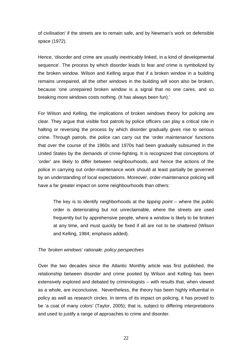of civilisation' if the streets are to remain safe, and by Newman's work on defensible space (1972).

Hence, 'disorder and crime are usually inextricably linked, in a kind of developmental sequence'. The process by which disorder leads to fear *and* crime is symbolized by the broken window. Wilson and Kelling argue that if a broken window in a building remains unrepaired, all the other windows in the building will soon also be broken, because 'one unrepaired broken window is a signal that no one cares, and so breaking more windows costs nothing. (It has always been fun).'

For Wilson and Kelling, the implications of broken windows theory for policing are clear. They argue that visible foot patrols by police officers can play a critical role in halting or reversing the process by which disorder gradually gives rise to serious crime. Through patrols, the police can carry out the 'order maintenance' functions that over the course of the 1960s and 1970s had been gradually subsumed in the United States by the demands of crime-fighting. It is recognized that conceptions of 'order' are likely to differ between neighbourhoods, and hence the actions of the police in carrying out order-maintenance work should at least partially be governed by an understanding of local expectations. Moreover, order-maintenance policing will have a far greater impact on some neighbourhoods than others:

The key is to identify neighborhoods at the *tipping point* – where the public order is deteriorating but not unreclaimable, where the streets are used frequently but by apprehensive people, where a window is likely to be broken at any time, and must quickly be fixed if all are not to be shattered (Wilson and Kelling, 1984; emphasis added).

#### *The 'broken windows' rationale: policy perspectives*

Over the two decades since the Atlantic Monthly article was first published, the relationship between disorder and crime posited by Wilson and Kelling has been extensively explored and debated by criminologists – with results that, when viewed as a whole, are inconclusive. Nevertheless, the theory has been highly influential in policy as well as research circles. In terms of its impact on policing, it has proved to be 'a coat of many colors' (Taylor, 2005); that is, subject to differing interpretations and used to justify a range of approaches to crime and disorder.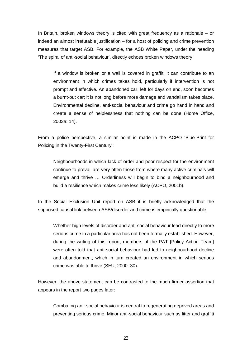In Britain, broken windows theory is cited with great frequency as a rationale – or indeed an almost irrefutable justification – for a host of policing and crime prevention measures that target ASB. For example, the ASB White Paper, under the heading 'The spiral of anti-social behaviour', directly echoes broken windows theory:

If a window is broken or a wall is covered in graffiti it can contribute to an environment in which crimes takes hold, particularly if intervention is not prompt and effective. An abandoned car, left for days on end, soon becomes a burnt-out car; it is not long before more damage and vandalism takes place. Environmental decline, anti-social behaviour and crime go hand in hand and create a sense of helplessness that nothing can be done (Home Office, 2003a: 14).

From a police perspective, a similar point is made in the ACPO 'Blue-Print for Policing in the Twenty-First Century':

Neighbourhoods in which lack of order and poor respect for the environment continue to prevail are very often those from where many active criminals will emerge and thrive … Orderliness will begin to bind a neighbourhood and build a resilience which makes crime less likely (ACPO, 2001b).

In the Social Exclusion Unit report on ASB it is briefly acknowledged that the supposed causal link between ASB/disorder and crime is empirically questionable:

Whether high levels of disorder and anti-social behaviour lead directly to more serious crime in a particular area has not been formally established. However, during the writing of this report, members of the PAT [Policy Action Team] were often told that anti-social behaviour had led to neighbourhood decline and abandonment, which in turn created an environment in which serious crime was able to thrive (SEU, 2000: 30).

However, the above statement can be contrasted to the much firmer assertion that appears in the report two pages later:

Combating anti-social behaviour is central to regenerating deprived areas and preventing serious crime. Minor anti-social behaviour such as litter and graffiti

23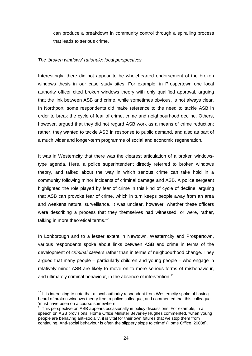can produce a breakdown in community control through a spiralling process that leads to serious crime.

### *The 'broken windows' rationale: local perspectives*

Interestingly, there did not appear to be wholehearted endorsement of the broken windows thesis in our case study sites. For example, in Prospertown one local authority officer cited broken windows theory with only qualified approval, arguing that the link between ASB and crime, while sometimes obvious, is not always clear. In Northport, some respondents did make reference to the need to tackle ASB in order to break the cycle of fear of crime, crime and neighbourhood decline. Others, however, argued that they did not regard ASB work as a means of crime reduction; rather, they wanted to tackle ASB in response to public demand, and also as part of a much wider and longer-term programme of social and economic regeneration.

It was in Westerncity that there was the clearest articulation of a broken windowstype agenda. Here, a police superintendent directly referred to broken windows theory, and talked about the way in which serious crime can take hold in a community following minor incidents of criminal damage and ASB. A police sergeant highlighted the role played by fear of crime in this kind of cycle of decline, arguing that ASB can provoke fear of crime, which in turn keeps people away from an area and weakens natural surveillance. It was unclear, however, whether these officers were describing a process that they themselves had witnessed, or were, rather, talking in more theoretical terms.<sup>10</sup>

In Lonborough and to a lesser extent in Newtown, Westerncity and Prospertown, various respondents spoke about links between ASB and crime in terms of the development of *criminal careers* rather than in terms of neighbourhood change. They argued that many people – particularly children and young people – who engage in relatively minor ASB are likely to move on to more serious forms of misbehaviour, and ultimately criminal behaviour, in the absence of intervention.<sup>11</sup>

 $\overline{a}$ 

 $10$  It is interesting to note that a local authority respondent from Westerncity spoke of having heard of broken windows theory from a police colleague, and commented that this colleague 'must have been on a course somewhere!'.

 $11$  This perspective on ASB appears occasionally in policy discussions. For example, in a speech on ASB provisions, Home Office Minister Beverley Hughes commented, 'when young people are behaving anti-socially, it is vital for their own futures that we stop them from continuing. Anti-social behaviour is often the slippery slope to crime' (Home Office, 2003d).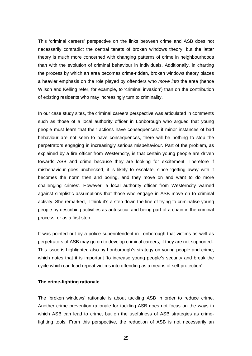This 'criminal careers' perspective on the links between crime and ASB does not necessarily contradict the central tenets of broken windows theory; but the latter theory is much more concerned with changing patterns of crime in neighbourhoods than with the evolution of criminal behaviour in individuals. Additionally, in charting the process by which an area becomes crime-ridden, broken windows theory places a heavier emphasis on the role played by offenders who *move into* the area (hence Wilson and Kelling refer, for example, to 'criminal invasion') than on the contribution of existing residents who may increasingly turn to criminality.

In our case study sites, the criminal careers perspective was articulated in comments such as those of a local authority officer in Lonborough who argued that young people must learn that their actions have consequences: if minor instances of bad behaviour are not seen to have consequences, there will be nothing to stop the perpetrators engaging in increasingly serious misbehaviour. Part of the problem, as explained by a fire officer from Westerncity, is that certain young people are driven towards ASB and crime because they are looking for excitement. Therefore if misbehaviour goes unchecked, it is likely to escalate, since 'getting away with it becomes the norm then and boring, and they move on and want to do more challenging crimes'. However, a local authority officer from Westerncity warned against simplistic assumptions that those who engage in ASB move on to criminal activity. She remarked, 'I think it's a step down the line of trying to criminalise young people by describing activities as anti-social and being part of a chain in the criminal process, or as a first step.'

It was pointed out by a police superintendent in Lonborough that victims as well as perpetrators of ASB may go on to develop criminal careers, if they are not supported. This issue is highlighted also by Lonborough's strategy on young people and crime, which notes that it is important 'to increase young people's security and break the cycle which can lead repeat victims into offending as a means of self-protection'.

#### **The crime-fighting rationale**

The 'broken windows' rationale is about tackling ASB in order to reduce crime. Another crime prevention rationale for tackling ASB does not focus on the ways in which ASB can lead to crime, but on the usefulness of ASB strategies as crimefighting tools. From this perspective, the reduction of ASB is not necessarily an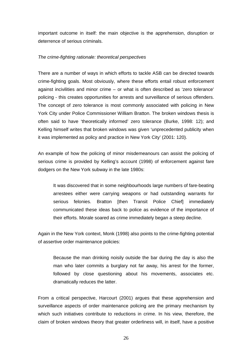important outcome in itself: the main objective is the apprehension, disruption or deterrence of serious criminals.

#### *The crime-fighting rationale: theoretical perspectives*

There are a number of ways in which efforts to tackle ASB can be directed towards crime-fighting goals. Most obviously, where these efforts entail robust enforcement against incivilities and minor crime – or what is often described as 'zero tolerance' policing - this creates opportunities for arrests and surveillance of serious offenders. The concept of zero tolerance is most commonly associated with policing in New York City under Police Commissioner William Bratton. The broken windows thesis is often said to have 'theoretically informed' zero tolerance (Burke, 1998: 12); and Kelling himself writes that broken windows was given 'unprecedented publicity when it was implemented as policy and practice in New York City' (2001: 120).

An example of how the policing of minor misdemeanours can assist the policing of serious crime is provided by Kelling's account (1998) of enforcement against fare dodgers on the New York subway in the late 1980s:

It was discovered that in some neighbourhoods large numbers of fare-beating arrestees either were carrying weapons or had outstanding warrants for serious felonies. Bratton [then Transit Police Chief] immediately communicated these ideas back to police as evidence of the importance of their efforts. Morale soared as crime immediately began a steep decline.

Again in the New York context, Monk (1998) also points to the crime-fighting potential of assertive order maintenance policies:

Because the man drinking noisily outside the bar during the day is also the man who later commits a burglary not far away, his arrest for the former, followed by close questioning about his movements, associates etc. dramatically reduces the latter.

From a critical perspective, Harcourt (2001) argues that these apprehension and surveillance aspects of order maintenance policing are the primary mechanism by which such initiatives contribute to reductions in crime. In his view, therefore, the claim of broken windows theory that greater orderliness will, in itself, have a positive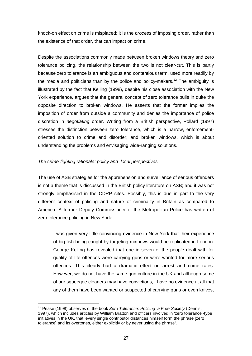knock-on effect on crime is misplaced: it is the *process* of imposing order, rather than the existence of that order, that can impact on crime.

Despite the associations commonly made between broken windows theory and zero tolerance policing, the relationship between the two is not clear-cut. This is partly because zero tolerance is an ambiguous and contentious term, used more readily by the media and politicians than by the police and policy-makers.<sup>12</sup> The ambiguity is illustrated by the fact that Kelling (1998), despite his close association with the New York experience, argues that the general concept of zero tolerance pulls in quite the opposite direction to broken windows. He asserts that the former implies the imposition of order from outside a community and denies the importance of police discretion in *negotiating* order. Writing from a British perspective, Pollard (1997) stresses the distinction between zero tolerance, which is a narrow, enforcementoriented solution to crime and disorder; and broken windows, which is about understanding the problems and envisaging wide-ranging solutions.

# *The crime-fighting rationale: policy and local perspectives*

 $\overline{a}$ 

The use of ASB strategies for the apprehension and surveillance of serious offenders is not a theme that is discussed in the British policy literature on ASB; and it was not strongly emphasised in the CDRP sites. Possibly, this is due in part to the very different context of policing and nature of criminality in Britain as compared to America. A former Deputy Commissioner of the Metropolitan Police has written of zero tolerance policing in New York:

I was given very little convincing evidence in New York that their experience of big fish being caught by targeting minnows would be replicated in London. George Kelling has revealed that one in seven of the people dealt with for quality of life offences were carrying guns or were wanted for more serious offences. This clearly had a dramatic effect on arrest and crime rates. However, we do not have the same gun culture in the UK and although some of our squeegee cleaners may have convictions, I have no evidence at all that any of them have been wanted or suspected of carrying guns or even knives,

<sup>12</sup> Pease (1998) observes of the book *Zero Tolerance: Policing a Free Society* (Dennis, 1997), which includes articles by William Bratton and officers involved in 'zero tolerance'-type initiatives in the UK, that 'every single contributor distances himself form the phrase [zero tolerance] and its overtones, either explicitly or by never using the phrase'.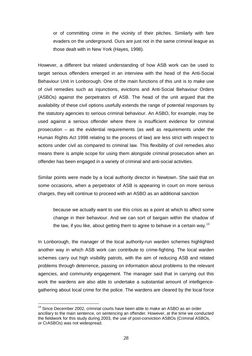or of committing crime in the vicinity of their pitches. Similarly with fare evaders on the underground. Ours are just not in the same criminal league as those dealt with in New York (Hayes, 1998).

However, a different but related understanding of how ASB work can be used to target serious offenders emerged in an interview with the head of the Anti-Social Behaviour Unit in Lonborough. One of the main functions of this unit is to make use of civil remedies such as injunctions, evictions and Anti-Social Behaviour Orders (ASBOs) against the perpetrators of ASB. The head of the unit argued that the availability of these civil options usefully extends the range of potential responses by the statutory agencies to serious criminal behaviour. An ASBO, for example, may be used against a serious offender where there is insufficient evidence for criminal prosecution – as the evidential requirements (as well as requirements under the Human Rights Act 1998 relating to the process of law) are less strict with respect to actions under civil as compared to criminal law. This flexibility of civil remedies also means there is ample scope for using them alongside criminal prosecution when an offender has been engaged in a variety of criminal and anti-social activities.

Similar points were made by a local authority director in Newtown. She said that on some occasions, when a perpetrator of ASB is appearing in court on more serious charges, they will continue to proceed with an ASBO as an additional sanction

because we actually want to use this crisis as a point at which to affect some change in their behaviour. And we can sort of bargain within the shadow of the law, if you like, about getting them to agree to behave in a certain way.<sup>13</sup>

In Lonborough, the manager of the local authority-run warden schemes highlighted another way in which ASB work can contribute to crime-fighting. The local warden schemes carry out high visibility patrols, with the aim of reducing ASB and related problems through deterrence, passing on information about problems to the relevant agencies, and community engagement. The manager said that in carrying out this work the wardens are also able to undertake a substantial amount of intelligencegathering about local crime for the police. The wardens are cleared by the local force

 $\overline{a}$ 

 $13$  Since December 2002, criminal courts have been able to make an ASBO as an order ancillary to the main sentence, on sentencing an offender. However, at the time we conducted the fieldwork for this study during 2003, the use of post-conviction ASBOs (Criminal ASBOs, or CrASBOs) was not widespread.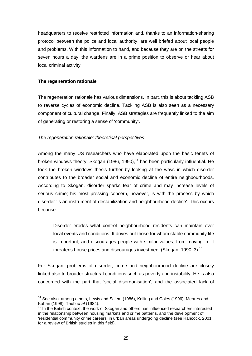headquarters to receive restricted information and, thanks to an information-sharing protocol between the police and local authority, are well briefed about local people and problems. With this information to hand, and because they are on the streets for seven hours a day, the wardens are in a prime position to observe or hear about local criminal activity.

### **The regeneration rationale**

 $\overline{a}$ 

The regeneration rationale has various dimensions. In part, this is about tackling ASB to reverse cycles of economic decline. Tackling ASB is also seen as a necessary component of cultural change. Finally, ASB strategies are frequently linked to the aim of generating or restoring a sense of 'community'.

#### *The regeneration rationale: theoretical perspectives*

Among the many US researchers who have elaborated upon the basic tenets of broken windows theory, Skogan (1986, 1990),<sup>14</sup> has been particularly influential. He took the broken windows thesis further by looking at the ways in which disorder contributes to the broader social and economic decline of entire neighbourhoods. According to Skogan, disorder sparks fear of crime and may increase levels of serious crime; his most pressing concern, however, is with the process by which disorder 'is an instrument of destabilization and neighbourhood decline'. This occurs because

Disorder erodes what control neighbourhood residents can maintain over local events and conditions. It drives out those for whom stable community life is important, and discourages people with similar values, from moving in. It threatens house prices and discourages investment (Skogan, 1990: 3).<sup>15</sup>

For Skogan, problems of disorder, crime and neighbourhood decline are closely linked also to broader structural conditions such as poverty and instability. He is also concerned with the part that 'social disorganisation', and the associated lack of

<sup>&</sup>lt;sup>14</sup> See also, among others, Lewis and Salem (1986), Kelling and Coles (1996), Meares and Kahan (1998), Taub *et al* (1984).<br><sup>15</sup> In the British context, the work of Skogan and others has influenced researchers interested

in the relationship between housing markets and crime patterns, and the development of 'residential community crime careers' in urban areas undergoing decline (see Hancock, 2001, for a review of British studies in this field).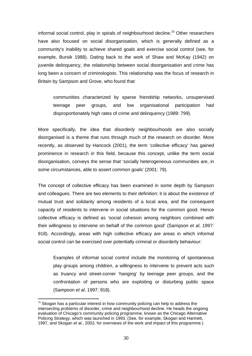informal social control, play in spirals of neighbourhood decline.<sup>16</sup> Other researchers have also focused on social disorganisation, which is generally defined as a community's inability to achieve shared goals and exercise social control (see, for example, Bursik 1988). Dating back to the work of Shaw and McKay (1942) on juvenile delinquency, the relationship between social disorganisation and crime has long been a concern of criminologists. This relationship was the focus of research in Britain by Sampson and Grove, who found that

communities characterized by sparse friendship networks, unsupervised teenage peer groups, and low organisational participation had disproportionately high rates of crime and delinquency (1989: 799).

More specifically, the idea that *disorderly* neighbourhoods are also socially disorganised is a theme that runs through much of the research on disorder. More recently, as observed by Hancock (2001), the term 'collective efficacy' has gained prominence in research in this field, because this concept, unlike the term social disorganisation, conveys the sense that 'socially heterogeneous communities are, in some circumstances, able to assert common goals' (2001: 79).

The concept of collective efficacy has been examined in some depth by Sampson and colleagues. There are two elements to their definition: it is about the existence of mutual trust and solidarity among residents of a local area, and the consequent capacity of residents to intervene in social situations for the common good. Hence collective efficacy is defined as 'social cohesion among neighbors combined with their willingness to intervene on behalf of the common good' (Sampson *et al*, 1997: 918). Accordingly, areas with high collective efficacy are areas in which informal social control can be exercised over potentially criminal or disorderly behaviour:

Examples of informal social control include the monitoring of spontaneous play groups among children, a willingness to intervene to prevent acts such as truancy and street-corner 'hanging' by teenage peer groups, and the confrontation of persons who are exploiting or disturbing public space (Sampson *et al*, 1997: 918).

 $\overline{a}$ 

 $16$  Skogan has a particular interest in how community policing can help to address the intersecting problems of disorder, crime and neighbourhood decline. He heads the ongoing evaluation of Chicago's community policing programme, known as the Chicago Alternative Policing Strategy, which was launched in 1993. (See, for example, Skogan and Hartnett, 1997, and Skogan *et al*., 2002, for overviews of the work and impact of this programme.)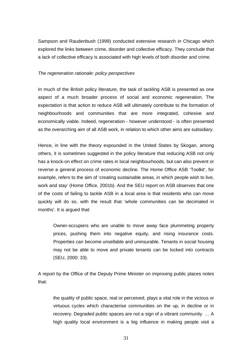Sampson and Raudenbush (1999) conducted extensive research in Chicago which explored the links between crime, disorder and collective efficacy. They conclude that a lack of collective efficacy is associated with high levels of both disorder and crime.

#### *The regeneration rationale: policy perspectives*

In much of the British policy literature, the task of tackling ASB is presented as one aspect of a much broader process of social and economic regeneration. The expectation is that action to reduce ASB will ultimately contribute to the formation of neighbourhoods and communities that are more integrated, cohesive and economically viable. Indeed, regeneration - however understood - is often presented as the overarching aim of all ASB work, in relation to which other aims are subsidiary.

Hence, in line with the theory expounded in the United States by Skogan, among others, it is sometimes suggested in the policy literature that reducing ASB not only has a knock-on effect on crime rates in local neighbourhoods, but can also prevent or reverse a general process of economic decline. The Home Office ASB 'Toolkit', for example, refers to the aim of 'creating sustainable areas, in which people wish to live, work and stay' (Home Office, 2001b). And the SEU report on ASB observes that one of the costs of failing to tackle ASB in a local area is that residents who can move quickly will do so, with the result that 'whole communities can be decimated in months'. It is argued that:

Owner-occupiers who are unable to move away face plummeting property prices, pushing them into negative equity, and rising insurance costs. Properties can become unsellable and uninsurable. Tenants in social housing may not be able to move and private tenants can be locked into contracts (SEU, 2000: 33).

A report by the Office of the Deputy Prime Minister on improving public places notes that:

the quality of public space, real or perceived, plays a vital role in the vicious or virtuous cycles which characterise communities on the up, in decline or in recovery. Degraded public spaces are not a sign of a vibrant community … A high quality local environment is a big influence in making people visit a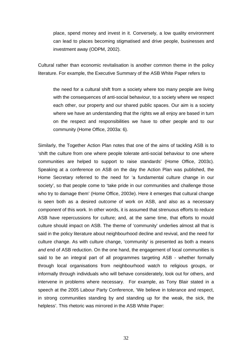place, spend money and invest in it. Conversely, a low quality environment can lead to places becoming stigmatised and drive people, businesses and investment away (ODPM, 2002).

Cultural rather than economic revitalisation is another common theme in the policy literature. For example, the Executive Summary of the ASB White Paper refers to

the need for a cultural shift from a society where too many people are living with the consequences of anti-social behaviour, to a society where we respect each other, our property and our shared public spaces. Our aim is a society where we have an understanding that the rights we all enjoy are based in turn on the respect and responsibilities we have to other people and to our community (Home Office, 2003a: 6).

Similarly, the Together Action Plan notes that one of the aims of tackling ASB is to 'shift the culture from one where people tolerate anti-social behaviour to one where communities are helped to support to raise standards' (Home Office, 2003c). Speaking at a conference on ASB on the day the Action Plan was published, the Home Secretary referred to the need for 'a fundamental culture change in our society', so that people come to 'take pride in our communities and challenge those who try to damage them' (Home Office, 2003e). Here it emerges that cultural change is seen both as a desired *outcome* of work on ASB, and also as a necessary *component* of this work. In other words, it is assumed that strenuous efforts to reduce ASB have repercussions for culture; and, at the same time, that efforts to mould culture should impact on ASB. The theme of 'community' underlies almost all that is said in the policy literature about neighbourhood decline and revival, and the need for culture change. As with culture change, 'community' is presented as both a means *and* end of ASB reduction. On the one hand, the engagement of local communities is said to be an integral part of all programmes targeting ASB - whether formally through local organisations from neighbourhood watch to religious groups, or informally through individuals who will behave considerately, look out for others, and intervene in problems where necessary. For example, as Tony Blair stated in a speech at the 2005 Labour Party Conference, 'We believe in tolerance and respect, in strong communities standing by and standing up for the weak, the sick, the helpless'. This rhetoric was mirrored in the ASB White Paper: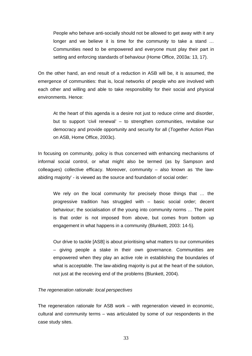People who behave anti-socially should not be allowed to get away with it any longer and we believe it is time for the community to take a stand … Communities need to be empowered and everyone must play their part in setting and enforcing standards of behaviour (Home Office, 2003a: 13, 17).

On the other hand, an end result of a reduction in ASB will be, it is assumed, the emergence of communities: that is, local networks of people who are involved with each other and willing and able to take responsibility for their social and physical environments. Hence:

At the heart of this agenda is a desire not just to reduce crime and disorder, but to support 'civil renewal' – to strengthen communities, revitalise our democracy and provide opportunity and security for all (*Together* Action Plan on ASB, Home Office, 2003c).

In focusing on community, policy is thus concerned with enhancing mechanisms of informal social control, or what might also be termed (as by Sampson and colleagues) collective efficacy. Moreover, community – also known as 'the lawabiding majority' - is viewed as the source and foundation of social order:

We rely on the local community for precisely those things that ... the progressive tradition has struggled with – basic social order; decent behaviour; the socialisation of the young into community norms … The point is that order is not imposed from above, but comes from bottom up engagement in what happens in a community (Blunkett, 2003: 14-5).

Our drive to tackle [ASB] is about prioritising what matters to our communities – giving people a stake in their own governance. Communities are empowered when they play an active role in establishing the boundaries of what is acceptable. The law-abiding majority is put at the heart of the solution, not just at the receiving end of the problems (Blunkett, 2004).

#### *The regeneration rationale: local perspectives*

The regeneration rationale for ASB work – with regeneration viewed in economic, cultural and community terms – was articulated by some of our respondents in the case study sites.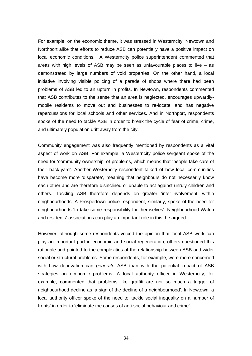For example, on the economic theme, it was stressed in Westerncity, Newtown and Northport alike that efforts to reduce ASB can potentially have a positive impact on local economic conditions. A Westerncity police superintendent commented that areas with high levels of ASB may be seen as unfavourable places to live  $-$  as demonstrated by large numbers of void properties. On the other hand, a local initiative involving visible policing of a parade of shops where there had been problems of ASB led to an upturn in profits. In Newtown, respondents commented that ASB contributes to the sense that an area is neglected, encourages upwardlymobile residents to move out and businesses to re-locate, and has negative repercussions for local schools and other services. And in Northport, respondents spoke of the need to tackle ASB in order to break the cycle of fear of crime, crime, and ultimately population drift away from the city.

Community engagement was also frequently mentioned by respondents as a vital aspect of work on ASB. For example, a Westerncity police sergeant spoke of the need for 'community ownership' of problems, which means that 'people take care of their back-yard'. Another Westerncity respondent talked of how local communities have become more 'disparate', meaning that neighbours do not necessarily know each other and are therefore disinclined or unable to act against unruly children and others. Tackling ASB therefore depends on greater 'inter-involvement' within neighbourhoods. A Prospertown police respondent, similarly, spoke of the need for neighbourhoods 'to take some responsibility for themselves'. Neighbourhood Watch and residents' associations can play an important role in this, he argued.

However, although some respondents voiced the opinion that local ASB work can play an important part in economic and social regeneration, others questioned this rationale and pointed to the complexities of the relationship between ASB and wider social or structural problems. Some respondents, for example, were more concerned with how deprivation can *generate* ASB than with the potential impact of ASB strategies on economic problems. A local authority officer in Westerncity, for example, commented that problems like graffiti are not so much a trigger of neighbourhood decline as 'a sign of the decline of a neighbourhood'. In Newtown, a local authority officer spoke of the need to 'tackle social inequality on a number of fronts' in order to 'eliminate the causes of anti-social behaviour and crime'.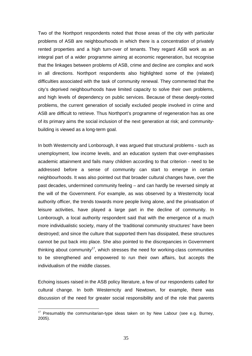Two of the Northport respondents noted that those areas of the city with particular problems of ASB are neighbourhoods in which there is a concentration of privately rented properties and a high turn-over of tenants. They regard ASB work as an integral part of a wider programme aiming at economic regeneration, but recognise that the linkages between problems of ASB, crime and decline are complex and work in all directions. Northport respondents also highlighted some of the (related) difficulties associated with the task of community renewal. They commented that the city's deprived neighbourhoods have limited capacity to solve their own problems, and high levels of dependency on public services. Because of these deeply-rooted problems, the current generation of socially excluded people involved in crime and ASB are difficult to retrieve. Thus Northport's programme of regeneration has as one of its primary aims the social inclusion of the next generation at risk; and communitybuilding is viewed as a long-term goal.

In both Westerncity and Lonborough, it was argued that structural problems - such as unemployment, low income levels, and an education system that over-emphasises academic attainment and fails many children according to that criterion - need to be addressed before a sense of community can start to emerge in certain neighbourhoods. It was also pointed out that broader cultural changes have, over the past decades, undermined community feeling – and can hardly be reversed simply at the will of the Government. For example, as was observed by a Westerncity local authority officer, the trends towards more people living alone, and the privatisation of leisure activities, have played a large part in the decline of community. In Lonborough, a local authority respondent said that with the emergence of a much more individualistic society, many of the 'traditional community structures' have been destroyed; and since the culture that supported them has dissipated, these structures cannot be put back into place. She also pointed to the discrepancies in Government thinking about community<sup>17</sup>, which stresses the need for working-class communities to be strengthened and empowered to run their own affairs, but accepts the individualism of the middle classes.

Echoing issues raised in the ASB policy literature, a few of our respondents called for cultural change. In both Westerncity and Newtown, for example, there was discussion of the need for greater social responsibility and of the role that parents

 $\overline{a}$ 

 $17$  Presumably the communitarian-type ideas taken on by New Labour (see e.g. Burney, 2005).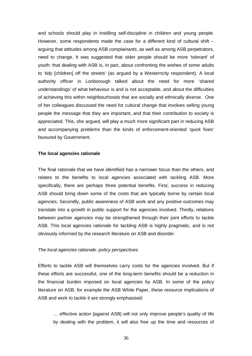and schools should play in instilling self-discipline in children and young people. However, some respondents made the case for a different kind of cultural shift – arguing that attitudes among ASB *complainants*, as well as among ASB perpetrators, need to change. It was suggested that older people should be more 'tolerant' of youth: that dealing with ASB is, in part, about confronting the wishes of some adults to 'tidy [children] off the streets' (as argued by a Westerncity respondent). A local authority officer in Lonborough talked about the need for more 'shared understandings' of what behaviour is and is not acceptable, and about the difficulties of achieving this within neighbourhoods that are socially and ethnically diverse. One of her colleagues discussed the need for cultural change that involves selling young people the message that they are important, and that their contribution to society is appreciated. This, she argued, will play a much more significant part in reducing ASB and accompanying problems than the kinds of enforcement-oriented 'quick fixes' favoured by Government.

#### **The local agencies rationale**

The final rationale that we have identified has a narrower focus than the others, and relates to the benefits to local agencies associated with tackling ASB. More specifically, there are perhaps three potential benefits. First, success in reducing ASB should bring down some of the costs that are typically borne by certain local agencies. Secondly, public awareness of ASB work and any positive outcomes may translate into a growth in public support for the agencies involved. Thirdly, relations between partner agencies may be strengthened through their joint efforts to tackle ASB. This local agencies rationale for tackling ASB is highly pragmatic, and is not obviously informed by the research literature on ASB and disorder.

#### *The local agencies rationale: policy perspectives*

Efforts to tackle ASB will themselves carry costs for the agencies involved. But if these efforts are successful, one of the long-term benefits should be a reduction in the financial burden imposed on local agencies by ASB. In some of the policy literature on ASB, for example the ASB White Paper, these resource implications of ASB and work to tackle it are strongly emphasised:

… effective action [against ASB] will not only improve people's quality of life by dealing with the problem, it will also free up the time and resources of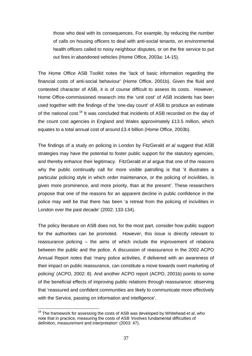those who deal with its consequences. For example, by reducing the number of calls on housing officers to deal with anti-social tenants, on environmental health officers called to noisy neighbour disputes, or on the fire service to put out fires in abandoned vehicles (Home Office, 2003a: 14-15).

The Home Office ASB Toolkit notes the 'lack of basic information regarding the financial costs of anti-social behaviour' (Home Office, 2001b). Given the fluid and contested character of ASB, it is of course difficult to assess its costs. However, Home Office-commissioned research into the 'unit cost' of ASB incidents has been used together with the findings of the 'one-day count' of ASB to produce an estimate of the national cost.<sup>18</sup> It was concluded that incidents of ASB recorded on the day of the count cost agencies in England and Wales approximately £13.5 million, which equates to a total annual cost of around £3.4 billion (Home Office, 2003b).

The findings of a study on policing in London by FitzGerald *et al* suggest that ASB strategies may have the potential to foster public support for the statutory agencies, and thereby enhance their legitimacy. FitzGerald *et al* argue that one of the reasons why the public continually call for more visible patrolling is that 'it illustrates a particular policing style in which order maintenance, or the policing of incivilities, is given more prominence, and more priority, than at the present'. These researchers propose that one of the reasons for an apparent decline in public confidence in the police may well be that there has been 'a retreat from the policing of incivilities in London over the past decade' (2002: 133-134).

The policy literature on ASB does not, for the most part, consider how public support for the authorities can be promoted. However, this issue is directly relevant to reassurance policing – the aims of which include the improvement of relations between the public and the police. A discussion of reassurance in the 2002 ACPO Annual Report notes that 'many police activities, if delivered with an awareness of their impact on public reassurance, can constitute a move towards overt marketing of policing' (ACPO, 2002: 8). And another ACPO report (ACPO, 2001b) points to some of the beneficial effects of improving public relations through reassurance: observing that 'reassured and confident communities are likely to communicate more effectively with the Service, passing on information and intelligence'.

 $\overline{a}$ 

<sup>18</sup> The framework for assessing the costs of ASB was developed by Whitehead *et al*, who note that in practice, measuring the costs of ASB 'involves fundamental difficulties of definition, measurement and interpretation' (2003: 47).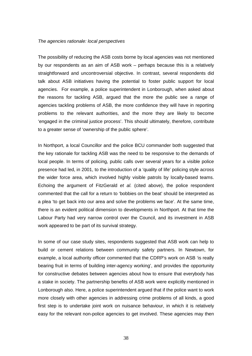#### *The agencies rationale: local perspectives*

The possibility of reducing the ASB costs borne by local agencies was not mentioned by our respondents as an aim of ASB work – perhaps because this is a relatively straightforward and uncontroversial objective. In contrast, several respondents did talk about ASB initiatives having the potential to foster public support for local agencies. For example, a police superintendent in Lonborough, when asked about the reasons for tackling ASB, argued that the more the public see a range of agencies tackling problems of ASB, the more confidence they will have in reporting problems to the relevant authorities, and the more they are likely to become 'engaged in the criminal justice process'. This should ultimately, therefore, contribute to a greater sense of 'ownership of the public sphere'.

In Northport, a local Councillor and the police BCU commander both suggested that the key rationale for tackling ASB was the need to be responsive to the demands of local people. In terms of policing, public calls over several years for a visible police presence had led, in 2001, to the introduction of a 'quality of life' policing style across the wider force area, which involved highly visible patrols by locally-based teams. Echoing the argument of FitzGerald *et al.* (cited above), the police respondent commented that the call for a return to 'bobbies on the beat' should be interpreted as a plea 'to get back into our area and solve the problems we face'. At the same time, there is an evident political dimension to developments in Northport. At that time the Labour Party had very narrow control over the Council, and its investment in ASB work appeared to be part of its survival strategy.

In some of our case study sites, respondents suggested that ASB work can help to build or cement relations between community safety partners. In Newtown, for example, a local authority officer commented that the CDRP's work on ASB 'is really bearing fruit in terms of building inter-agency working', and provides the opportunity for constructive debates between agencies about how to ensure that everybody has a stake in society. The partnership benefits of ASB work were explicitly mentioned in Lonborough also. Here, a police superintendent argued that if the police want to work more closely with other agencies in addressing crime problems of all kinds, a good first step is to undertake joint work on nuisance behaviour, in which it is relatively easy for the relevant non-police agencies to get involved. These agencies may then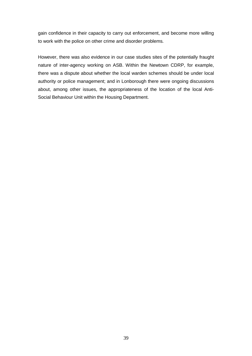gain confidence in their capacity to carry out enforcement, and become more willing to work with the police on other crime and disorder problems.

However, there was also evidence in our case studies sites of the potentially fraught nature of inter-agency working on ASB. Within the Newtown CDRP, for example, there was a dispute about whether the local warden schemes should be under local authority or police management; and in Lonborough there were ongoing discussions about, among other issues, the appropriateness of the location of the local Anti-Social Behaviour Unit within the Housing Department.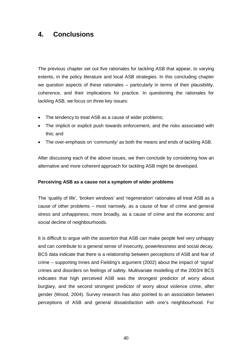# **4. Conclusions**

The previous chapter set out five rationales for tackling ASB that appear, to varying extents, in the policy literature and local ASB strategies. In this concluding chapter we question aspects of these rationales – particularly in terms of their plausibility, coherence, and their implications for practice. In questioning the rationales for tackling ASB, we focus on three key issues:

- The tendency to treat ASB as a cause of wider problems;
- The implicit or explicit push towards enforcement, and the risks associated with this; and
- The over-emphasis on 'community' as both the means and ends of tackling ASB.

After discussing each of the above issues, we then conclude by considering how an alternative and more coherent approach for tackling ASB might be developed.

# **Perceiving ASB as a cause not a symptom of wider problems**

The 'quality of life', 'broken windows' and 'regeneration' rationales all treat ASB as a cause of other problems – most narrowly, as a cause of fear of crime and general stress and unhappiness; more broadly, as a cause of crime and the economic and social decline of neighbourhoods.

It is difficult to argue with the assertion that ASB can make people feel very unhappy and can contribute to a general sense of insecurity, powerlessness and social decay. BCS data indicate that there is a relationship between perceptions of ASB and fear of crime – supporting Innes and Fielding's argument (2002) about the impact of 'signal' crimes and disorders on feelings of safety. Multivariate modelling of the 2003/4 BCS indicates that high perceived ASB was the strongest predictor of worry about burglary, and the second strongest predictor of worry about violence crime, after gender (Wood, 2004). Survey research has also pointed to an association between perceptions of ASB and general dissatisfaction with one's neighbourhood. For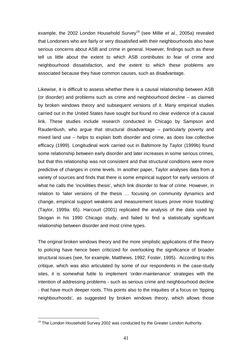example, the 2002 London Household Survey<sup>19</sup> (see Millie *et al.*, 2005a) revealed that Londoners who are fairly or very dissatisfied with their neighbourhoods also have serious concerns about ASB and crime in general. However, findings such as these tell us little about the extent to which ASB *contributes to* fear of crime and neighbourhood dissatisfaction, and the extent to which these problems are associated because they have common causes, such as disadvantage.

Likewise, it is difficult to assess whether there is a causal relationship between ASB (or disorder) and problems such as crime and neighbourhood decline – as claimed by broken windows theory and subsequent versions of it. Many empirical studies carried out in the United States have sought but found no clear evidence of a causal link. These studies include research conducted in Chicago by Sampson and Raudenbush, who argue that structural disadvantage – particularly poverty and mixed land use – helps to explain both disorder and crime, as does low collective efficacy (1999). Longitudinal work carried out in Baltimore by Taylor (1999b) found some relationship between early disorder and later increases in some serious crimes, but that this relationship was not consistent and that structural conditions were more predictive of changes in crime levels. In another paper, Taylor analyses data from a variety of sources and finds that there is some empirical support for early versions of what he calls the 'incivilities thesis', which link disorder to fear of crime. However, in relation to 'later versions of the thesis … focusing on community dynamics and change, empirical support weakens and measurement issues prove more troubling' (Taylor, 1999a: 65). Harcourt (2001) replicated the analysis of the data used by Skogan in his 1990 Chicago study, and failed to find a statistically significant relationship between disorder and most crime types.

The original broken windows theory and the more simplistic applications of the theory to policing have hence been criticized for overlooking the significance of broader structural issues (see, for example, Matthews, 1992; Foster, 1995). According to this critique, which was also articulated by some of our respondents in the case-study sites, it is somewhat futile to implement 'order-maintenance' strategies with the intention of addressing problems - such as serious crime and neighbourhood decline - that have much deeper roots. This points also to the iniquities of a focus on 'tipping neighbourhoods', as suggested by broken windows theory, which allows those

 $\overline{a}$ 

 $19$  The London Household Survey 2002 was conducted by the Greater London Authority.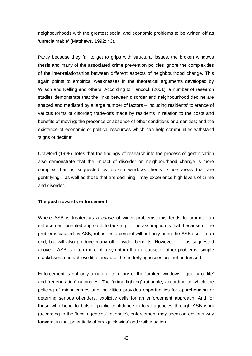neighbourhoods with the greatest social and economic problems to be written off as 'unreclaimable' (Matthews, 1992: 43).

Partly because they fail to get to grips with structural issues, the broken windows thesis and many of the associated crime prevention policies ignore the complexities of the inter-relationships between different aspects of neighbourhood change. This again points to empirical weaknesses in the theoretical arguments developed by Wilson and Kelling and others. According to Hancock (2001), a number of research studies demonstrate that the links between disorder and neighbourhood decline are shaped and mediated by a large number of factors – including residents' tolerance of various forms of disorder; trade-offs made by residents in relation to the costs and benefits of moving; the presence or absence of other conditions or amenities; and the existence of economic or political resources which can help communities withstand 'signs of decline'.

Crawford (1998) notes that the findings of research into the process of gentrification also demonstrate that the impact of disorder on neighbourhood change is more complex than is suggested by broken windows theory, since areas that are gentrifying – as well as those that are declining - may experience high levels of crime and disorder.

#### **The push towards enforcement**

Where ASB is treated as a *cause* of wider problems, this tends to promote an enforcement-oriented approach to tackling it. The assumption is that, because of the problems caused by ASB, robust enforcement will not only bring the ASB itself to an end, but will also produce many other wider benefits. However, if  $-$  as suggested above – ASB is often more of a symptom than a cause of other problems, simple crackdowns can achieve little because the underlying issues are not addressed.

Enforcement is not only a natural corollary of the 'broken windows', 'quality of life' and 'regeneration' rationales. The 'crime-fighting' rationale, according to which the policing of minor crimes and incivilities provides opportunities for apprehending or deterring serious offenders, explicitly calls for an enforcement approach. And for those who hope to bolster public confidence in local agencies through ASB work (according to the 'local agencies' rationale), enforcement may seem an obvious way forward, in that potentially offers 'quick wins' and visible action.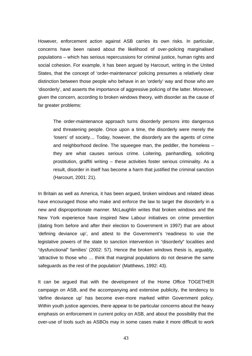However, enforcement action against ASB carries its own risks. In particular, concerns have been raised about the likelihood of over-policing marginalised populations – which has serious repercussions for criminal justice, human rights and social cohesion. For example, it has been argued by Harcourt, writing in the United States, that the concept of 'order-maintenance' policing presumes a relatively clear distinction between those people who behave in an 'orderly' way and those who are 'disorderly', and asserts the importance of aggressive policing of the latter. Moreover, given the concern, according to broken windows theory, with disorder as the cause of far greater problems:

The order-maintenance approach turns disorderly persons into dangerous and threatening people. Once upon a time, the disorderly were merely the 'losers' of society… Today, however, the disorderly are the agents of crime and neighborhood decline. The squeegee man, the peddler, the homeless – they are what causes serious crime. Loitering, panhandling, soliciting prostitution, graffiti writing – these activities foster serious criminality. As a result, disorder in itself has become a harm that justified the criminal sanction (Harcourt, 2001: 21).

In Britain as well as America, it has been argued, broken windows and related ideas have encouraged those who make and enforce the law to target the disorderly in a new and disproportionate manner. McLaughlin writes that broken windows and the New York experience have inspired New Labour initiatives on crime prevention (dating from before and after their election to Government in 1997) that are about 'defining deviance up', and attest to the Government's 'readiness to use the legislative powers of the state to sanction intervention in "disorderly" localities and "dysfunctional" families' (2002: 57). Hence the broken windows thesis is, arguably, 'attractive to those who … think that marginal populations do not deserve the same safeguards as the rest of the population' (Matthews, 1992: 43).

It can be argued that with the development of the Home Office TOGETHER campaign on ASB, and the accompanying and extensive publicity, the tendency to 'define deviance up' has become ever-more marked within Government policy. Within youth justice agencies, there appear to be particular concerns about the heavy emphasis on enforcement in current policy on ASB, and about the possibility that the over-use of tools such as ASBOs may in some cases make it more difficult to work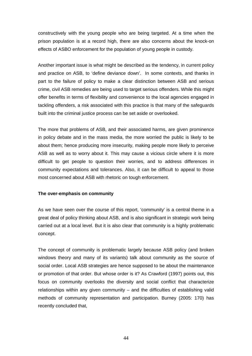constructively with the young people who are being targeted. At a time when the prison population is at a record high, there are also concerns about the knock-on effects of ASBO enforcement for the population of young people in custody.

Another important issue is what might be described as the tendency, in current policy and practice on ASB, to 'define deviance down'. In some contexts, and thanks in part to the failure of policy to make a clear distinction between ASB and serious crime, civil ASB remedies are being used to target serious offenders. While this might offer benefits in terms of flexibility and convenience to the local agencies engaged in tackling offenders, a risk associated with this practice is that many of the safeguards built into the criminal justice process can be set aside or overlooked.

The more that problems of ASB, and their associated harms, are given prominence in policy debate and in the mass media, the more worried the public is likely to be about them; hence producing more insecurity, making people more likely to perceive ASB as well as to worry about it. This may cause a vicious circle where it is more difficult to get people to question their worries, and to address differences in community expectations and tolerances. Also, it can be difficult to appeal to those most concerned about ASB with rhetoric on tough enforcement.

#### **The over-emphasis on community**

As we have seen over the course of this report, 'community' is a central theme in a great deal of policy thinking about ASB, and is also significant in strategic work being carried out at a local level. But it is also clear that community is a highly problematic concept.

The concept of community is problematic largely because ASB policy (and broken windows theory and many of its variants) talk about community as the source of social order. Local ASB strategies are hence supposed to be about the maintenance or promotion of that order. But whose order is it? As Crawford (1997) points out, this focus on community overlooks the diversity and social conflict that characterize relationships within any given community – and the difficulties of establishing valid methods of community representation and participation. Burney (2005: 170) has recently concluded that,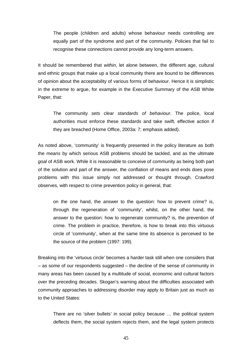The people (children and adults) whose behaviour needs controlling are equally part of the syndrome and part of the community. Policies that fail to recognise these connections cannot provide any long-term answers.

It should be remembered that *within*, let alone between, the different age, cultural and ethnic groups that make up a local community there are bound to be differences of opinion about the acceptability of various forms of behaviour. Hence it is simplistic in the extreme to argue, for example in the Executive Summary of the ASB White Paper, that:

The community *sets clear standards of behaviour*. The police, local authorities must enforce these standards and take swift, effective action if they are breached (Home Office, 2003a: 7; emphasis added).

As noted above, 'community' is frequently presented in the policy literature as both the *means* by which serious ASB problems should be tackled, and as the ultimate *goal* of ASB work. While it is reasonable to conceive of community as being both part of the solution and part of the answer, the conflation of means and ends does pose problems with this issue simply not addressed or thought through. Crawford observes, with respect to crime prevention policy in general, that:

on the one hand, the answer to the question: how to prevent crime? is, through the regeneration of 'community', whilst, on the other hand, the answer to the question: how to regenerate community? is, the prevention of crime. The problem in practice, therefore, is how to break into this virtuous circle of 'community', when at the same time its absence is perceived to be the source of the problem (1997: 199).

Breaking into the 'virtuous circle' becomes a harder task still when one considers that – as some of our respondents suggested – the decline of the sense of community in many areas has been caused by a multitude of social, economic and cultural factors over the preceding decades. Skogan's warning about the difficulties associated with community approaches to addressing disorder may apply to Britain just as much as to the United States:

There are no 'silver bullets' in social policy because … the political system deflects them, the social system rejects them, and the legal system protects

45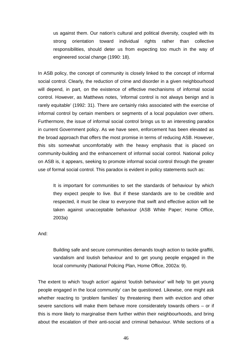us against them. Our nation's cultural and political diversity, coupled with its strong orientation toward individual rights rather than collective responsibilities, should deter us from expecting too much in the way of engineered social change (1990: 18).

In ASB policy, the concept of community is closely linked to the concept of informal social control. Clearly, the reduction of crime and disorder in a given neighbourhood will depend, in part, on the existence of effective mechanisms of informal social control. However, as Matthews notes, 'informal control is not always benign and is rarely equitable' (1992: 31). There are certainly risks associated with the exercise of informal control by certain members or segments of a local population over others. Furthermore, the issue of informal social control brings us to an interesting paradox in current Government policy. As we have seen, enforcement has been elevated as the broad approach that offers the most promise in terms of reducing ASB. However, this sits somewhat uncomfortably with the heavy emphasis that is placed on community-building and the enhancement of informal social control. National policy on ASB is, it appears, seeking to promote informal social control through the greater use of formal social control. This paradox is evident in policy statements such as:

It is important for communities to set the standards of behaviour by which they expect people to live. But if these standards are to be credible and respected, it must be clear to everyone that swift and effective action will be taken against unacceptable behaviour (ASB White Paper; Home Office, 2003a)

And:

Building safe and secure communities demands tough action to tackle graffiti, vandalism and loutish behaviour and to get young people engaged in the local community (National Policing Plan, Home Office, 2002a: 9).

The extent to which 'tough action' against 'loutish behaviour' will help 'to get young people engaged in the local community' can be questioned. Likewise, one might ask whether reacting to 'problem families' by threatening them with eviction and other severe sanctions will make them behave more considerately towards others – or if this is more likely to marginalise them further within their neighbourhoods, and bring about the escalation of their anti-social and criminal behaviour. While sections of a

46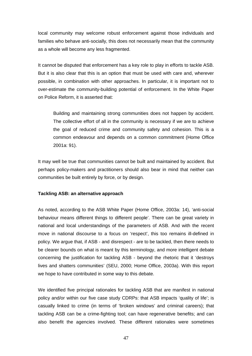local community may welcome robust enforcement against those individuals and families who behave anti-socially, this does not necessarily mean that the community as a whole will become any less fragmented.

It cannot be disputed that enforcement has a key role to play in efforts to tackle ASB. But it is also clear that this is an option that must be used with care and, wherever possible, in combination with other approaches. In particular, it is important not to over-estimate the community-building potential of enforcement. In the White Paper on Police Reform, it is asserted that:

Building and maintaining strong communities does not happen by accident. The collective effort of all in the community is necessary if we are to achieve the goal of reduced crime and community safety and cohesion. This is a common endeavour and depends on a common commitment (Home Office 2001a: 91).

It may well be true that communities cannot be built and maintained by accident. But perhaps policy-makers and practitioners should also bear in mind that neither can communities be built entirely by force, or by design.

#### **Tackling ASB: an alternative approach**

As noted, according to the ASB White Paper (Home Office, 2003a: 14), 'anti-social behaviour means different things to different people'. There can be great variety in national and local understandings of the parameters of ASB. And with the recent move in national discourse to a focus on 'respect', this too remains ill-defined in policy. We argue that, if ASB - and disrespect - are to be tackled, then there needs to be clearer bounds on what is meant by this terminology, and more intelligent debate concerning the justification for tackling ASB - beyond the rhetoric that it 'destroys lives and shatters communities' (SEU, 2000; Home Office, 2003a). With this report we hope to have contributed in some way to this debate.

We identified five principal rationales for tackling ASB that are manifest in national policy and/or within our five case study CDRPs: that ASB impacts 'quality of life'; is casually linked to crime (in terms of 'broken windows' and criminal careers); that tackling ASB can be a crime-fighting tool; can have regenerative benefits; and can also benefit the agencies involved. These different rationales were sometimes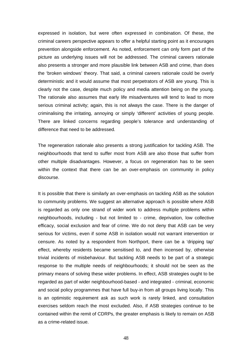expressed in isolation, but were often expressed in combination. Of these, the criminal careers perspective appears to offer a helpful starting point as it encourages prevention alongside enforcement. As noted, enforcement can only form part of the picture as underlying issues will not be addressed. The criminal careers rationale also presents a stronger and more plausible link between ASB and crime, than does the 'broken windows' theory. That said, a criminal careers rationale could be overly deterministic and it would assume that most perpetrators of ASB are young. This is clearly not the case, despite much policy and media attention being on the young. The rationale also assumes that early life misadventures will tend to lead to more serious criminal activity; again, this is not always the case. There is the danger of criminalising the irritating, annoying or simply 'different' activities of young people. There are linked concerns regarding people's tolerance and understanding of difference that need to be addressed.

The regeneration rationale also presents a strong justification for tackling ASB. The neighbourhoods that tend to suffer most from ASB are also those that suffer from other multiple disadvantages. However, a focus on regeneration has to be seen within the context that there can be an over-emphasis on community in policy discourse.

It is possible that there is similarly an over-emphasis on tackling ASB as *the* solution to community problems. We suggest an alternative approach is possible where ASB is regarded as only one strand of wider work to address multiple problems within neighbourhoods, including - but not limited to - crime, deprivation, low collective efficacy, social exclusion and fear of crime. We do not deny that ASB can be very serious for victims, even if some ASB in isolation would not warrant intervention or censure. As noted by a respondent from Northport, there can be a 'dripping tap' effect, whereby residents became sensitised to, and then incensed by, otherwise trivial incidents of misbehaviour. But tackling ASB needs to be part of a strategic response to the multiple needs of neighbourhoods; it should not be seen as the primary means of solving these wider problems. In effect, ASB strategies ought to be regarded as part of wider neighbourhood-based - and integrated - criminal, economic and social policy programmes that have full buy-in from all groups living locally. This is an optimistic requirement ask as such work is rarely linked, and consultation exercises seldom reach the most excluded. Also, if ASB strategies continue to be contained within the remit of CDRPs, the greater emphasis is likely to remain on ASB as a crime-related issue.

48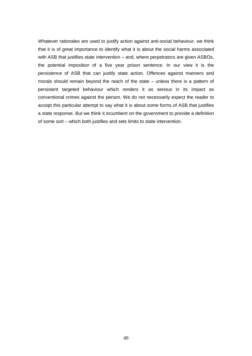Whatever rationales are used to justify action against anti-social behaviour, we think that it is of great importance to identify what it is about the social harms associated with ASB that justifies state intervention – and, where perpetrators are given ASBOs, the potential imposition of a five year prison sentence. In our view it is the *persistence* of ASB that can justify state action. Offences against manners and morals should remain beyond the reach of the state – unless there is a pattern of persistent targeted behaviour which renders it as serious in its impact as conventional crimes against the person. We do not necessarily expect the reader to accept this particular attempt to say what it is about some forms of ASB that justifies a state response. But we think it incumbent on the government to provide a definition of some sort – which both justifies and sets limits to state intervention.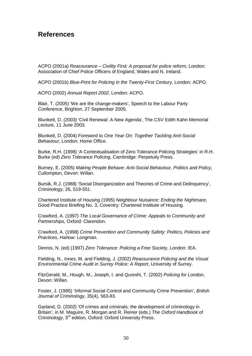# **References**

ACPO (2001a) *Reassurance – Civility First: A proposal for police reform*, London: Association of Chief Police Officers of England, Wales and N. Ireland.

ACPO (2001b) *Blue-Print for Policing in the Twenty-First Century*, London: ACPO.

ACPO (2002) *Annual Report 2002*, London: ACPO.

Blair, T. (2005) 'We are the change-makers', Speech to the Labour Party Conference, Brighton, 27 September 2005.

Blunkett, D. (2003) 'Civil Renewal: A New Agenda', The CSV Edith Kahn Memorial Lecture, 11 June 2003.

Blunkett, D. (2004) Foreword to *One Year On: Together Tackling Anti-Social Behaviour*, London: Home Office.

Burke, R.H. (1998) 'A Contextualisation of Zero Tolerance Policing Strategies' in R.H. Burke (ed) *Zero Tolerance Policing*, Cambridge: Perpetuity Press.

Burney, E. (2005) *Making People Behave: Anti-Social Behaviour, Politics and Policy*, Cullompton, Devon: Willan.

Bursik, R.J. (1988) 'Social Disorganization and Theories of Crime and Delinquency', *Criminology*, 26, 519-551.

Chartered Institute of Housing (1995) *Neighbour Nuisance: Ending the Nightmare*, Good Practice Briefing No. 3, Coventry: Chartered Institute of Housing.

Crawford, A. (1997) *The Local Governance of Crime: Appeals to Community and Partnerships*, Oxford: Clarendon.

Crawford, A. (1998) *Crime Prevention and Community Safety: Politics, Policies and Practices*, Harlow: Longman.

Dennis, N. (ed) (1997) *Zero Tolerance: Policing a Free Society*, London: IEA.

Fielding, N., Innes, M. and Fielding, J. (2002) *Reassurance Policing and the Visual Environmental Crime Audit in Surrey Police: A Report*, University of Surrey.

FitzGerald, M., Hough, M., Joseph, I. and Qureshi, T. (2002) *Policing for London*, Devon: Willan.

Foster, J. (1995) 'Informal Social Control and Community Crime Prevention', *British Journal of Criminology*, 35(4), 563-83.

Garland, D. (2002) 'Of crimes and criminals: the development of criminology in Britain', in M. Maguire, R. Morgan and R. Reiner (eds.) *The Oxford Handbook of Criminology*, 3rd edition, Oxford: Oxford University Press.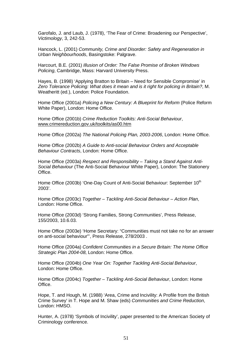Garofalo, J. and Laub, J. (1978), 'The Fear of Crime: Broadening our Perspective', *Victimology*, 3, 242-53.

Hancock, L. (2001) *Community, Crime and Disorder: Safety and Regeneration in Urban Neighbourhoods*, Basingstoke: Palgrave.

Harcourt, B.E. (2001) *Illusion of Order: The False Promise of Broken Windows Policing*, Cambridge, Mass: Harvard University Press.

Hayes, B. (1998) 'Applying Bratton to Britain – Need for Sensible Compromise' in *Zero Tolerance Policing: What does it mean and is it right for policing in Britain?*, M. Weatheritt (ed.), London: Police Foundation.

Home Office (2001a) *Policing a New Century: A Blueprint for Reform* (Police Reform White Paper), London: Home Office.

Home Office (2001b) *Crime Reduction Toolkits: Anti-Social Behaviour*, www.crimereduction.gov.uk/toolkits/as00.htm

Home Office (2002a) *The National Policing Plan, 2003-2006*, London: Home Office.

Home Office (2002b) *A Guide to Anti-social Behaviour Orders and Acceptable Behaviour Contracts*, London: Home Office.

Home Office (2003a) *Respect and Responsibility – Taking a Stand Against Anti-Social Behaviour* (The Anti-Social Behaviour White Paper), London: The Stationery Office.

Home Office (2003b) 'One-Day Count of Anti-Social Behaviour: September 10<sup>th</sup> 2003'.

Home Office (2003c) *Together – Tackling Anti-Social Behaviour – Action Plan*, London: Home Office.

Home Office (2003d) 'Strong Families, Strong Communities', Press Release, 155/2003, 10.6.03.

Home Office (2003e) 'Home Secretary: "Communities must not take no for an answer on anti-social behaviour"', Press Release, 278/2003 .

Home Office (2004a) *Confident Communities in a Secure Britain: The Home Office Strategic Plan 2004-08*, London: Home Office.

Home Office (2004b) *One Year On: Together Tackling Anti-Social Behaviour*, London: Home Office.

Home Office (2004c) *Together – Tackling Anti-Social Behaviour*, London: Home Office.

Hope, T. and Hough, M. (1988) 'Area, Crime and Incivility: A Profile from the British Crime Survey' in T. Hope and M. Shaw (eds) *Communities and Crime Reduction*, London: HMSO.

Hunter, A. (1978) 'Symbols of Incivility', paper presented to the American Society of Criminology conference.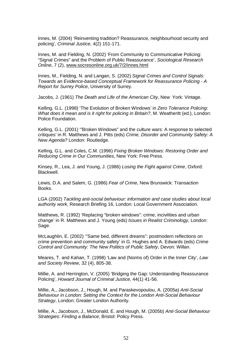Innes, M. (2004) 'Reinventing tradition? Reassurance, neighbourhood security and policing', *Criminal Justice*, 4(2) 151-171.

Innes, M. and Fielding, N. (2002) 'From Community to Communicative Policing: "Signal Crimes" and the Problem of Public Reassurance', *Sociological Research Online*, 7 (2), www.socresonline.org.uk/7/2/innes.html

Innes, M., Fielding, N. and Langan, S. (2002) *Signal Crimes and Control Signals: Towards an Evidence-based Conceptual Framework for Reassurance Policing - A Report for Surrey Police*, University of Surrey.

Jacobs, J. (1961) *The Death and Life of the American City*, New York: Vintage.

Kelling, G.L. (1998) 'The Evolution of Broken Windows' in *Zero Tolerance Policing: What does it mean and is it right for policing in Britain?*, M. Weatheritt (ed.), London: Police Foundation.

Kelling, G.L. (2001) '"Broken Windows" and the culture wars: A response to selected critiques' in R. Matthews and J. Pitts (eds) *Crime, Disorder and Community Safety: A New Agenda?* London: Routledge.

Kelling, G.L. and Coles, C.M. (1996) *Fixing Broken Windows: Restoring Order and Reducing Crime in Our Communities*, New York: Free Press.

Kinsey, R., Lea, J. and Young, J. (1986) *Losing the Fight against Crime*, Oxford: Blackwell.

Lewis, D.A. and Salem, G. (1986) *Fear of Crime*, New Brunswick: Transaction Books.

LGA (2002) *Tackling anti-social behaviour: information and case studies about local authority work*, Research Briefing 16, London: Local Government Association.

Matthews, R. (1992) 'Replacing "broken windows": crime, incivilities and urban change' in R. Matthews and J. Young (eds) *Issues in Realist Criminology*, London: Sage.

McLaughlin, E. (2002) '"Same bed, different dreams": postmodern reflections on crime prevention and community safety' in G. Hughes and A. Edwards (eds) *Crime Control and Community: The New Politics of Public Safety*, Devon: Willan.

Meares, T. and Kahan, T. (1998) 'Law and (Norms of) Order in the Inner City', *Law and Society Review*, 32 (4), 805-38.

Millie, A. and Herrington, V. (2005) 'Bridging the Gap: Understanding Reassurance Policing', *Howard Journal of Criminal Justice*, 44(1) 41-56.

Millie, A., Jacobson, J., Hough, M. and Paraskevopoulou, A. (2005a) *Anti-Social Behaviour in London: Setting the Context for the London Anti-Social Behaviour Strategy*, London: Greater London Authority.

Millie, A., Jacobson, J., McDonald, E. and Hough, M. (2005b) *Anti-Social Behaviour Strategies: Finding a Balance*, Bristol: Policy Press.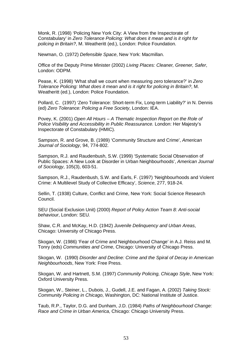Monk, R. (1998) 'Policing New York City: A View from the Inspectorate of Constabulary' in *Zero Tolerance Policing: What does it mean and is it right for policing in Britain?*, M. Weatheritt (ed.), London: Police Foundation.

Newman, O. (1972) *Defensible Space*, New York: Macmillan.

Office of the Deputy Prime Minister (2002) *Living Places: Cleaner, Greener, Safer*, London: ODPM.

Pease, K. (1998) 'What shall we count when measuring zero tolerance?' in *Zero Tolerance Policing: What does it mean and is it right for policing in Britain?*, M. Weatheritt (ed.), London: Police Foundation.

Pollard, C. (1997) 'Zero Tolerance: Short-term Fix, Long-term Liability?' in N. Dennis (ed) *Zero Tolerance: Policing a Free Society*, London: IEA.

Povey, K. (2001) *Open All Hours – A Thematic Inspection Report on the Role of Police Visibility and Accessibility in Public Reassurance.* London: Her Majesty's Inspectorate of Constabulary (HMIC).

Sampson, R. and Grove, B. (1989) 'Community Structure and Crime', *American Journal of Sociology*, 94, 774-802.

Sampson, R.J. and Raudenbush, S.W. (1999) 'Systematic Social Observation of Public Spaces: A New Look at Disorder in Urban Neighbourhoods', *American Journal of Sociology*, 105(3), 603-51.

Sampson, R.J., Raudenbush, S.W. and Earls, F. (1997) 'Neighbourhoods and Violent Crime: A Multilevel Study of Collective Efficacy', *Science*, 277, 918-24.

Sellin, T. (1938) Culture, Conflict and Crime, New York: Social Science Research Council.

SEU (Social Exclusion Unit) (2000) *Report of Policy Action Team 8: Anti-social behaviour*, London: SEU.

Shaw, C.R. and McKay, H.D. (1942) *Juvenile Delinquency and Urban Areas*, Chicago: University of Chicago Press.

Skogan, W. (1986) 'Fear of Crime and Neighbourhood Change' in A.J. Reiss and M. Tonry (eds) *Communities and Crime*, Chicago: University of Chicago Press.

Skogan, W. (1990) *Disorder and Decline: Crime and the Spiral of Decay in American Neighbourhoods*, New York: Free Press.

Skogan, W. and Hartnett, S.M. (1997) *Community Policing, Chicago Style*, New York: Oxford University Press.

Skogan, W., Steiner, L., Dubois, J., Gudell, J.E. and Fagan, A. (2002) *Taking Stock: Community Policing in Chicago*, Washington, DC: National Institute of Justice.

Taub, R.P., Taylor, D.G. and Dunham, J.D. (1984) *Paths of Neighbourhood Change: Race and Crime in Urban America*, Chicago: Chicago University Press.